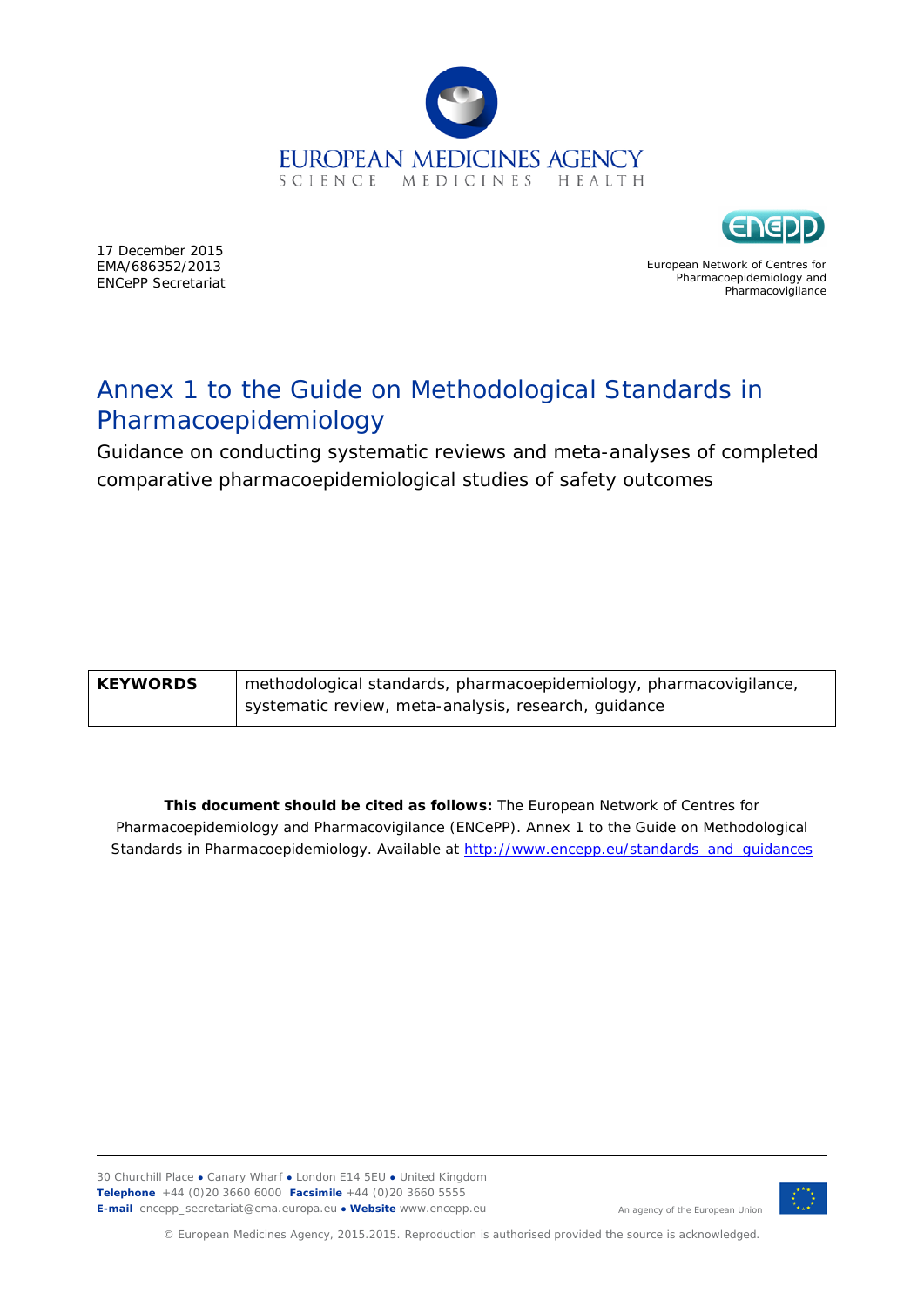



17 December 2015 EMA/686352/2013 ENCePP Secretariat

European Network of Centres for Pharmacoepidemiology and Pharmacovigilance

# Annex 1 to the Guide on Methodological Standards in Pharmacoepidemiology

Guidance on conducting systematic reviews and meta-analyses of completed comparative pharmacoepidemiological studies of safety outcomes

| <b>KEYWORDS</b> | methodological standards, pharmacoepidemiology, pharmacovigilance, |
|-----------------|--------------------------------------------------------------------|
|                 | systematic review, meta-analysis, research, guidance               |

**This document should be cited as follows:** The European Network of Centres for Pharmacoepidemiology and Pharmacovigilance (ENCePP). Annex 1 to the Guide on Methodological Standards in Pharmacoepidemiology. Available at [http://www.encepp.eu/standards\\_and\\_guidances](http://www.encepp.eu/standards_and_guidances)

30 Churchill Place **●** Canary Wharf **●** London E14 5EU **●** United Kingdom **Telephone** +44 (0)20 3660 6000 **Facsimile** +44 (0)20 3660 5555 **E-mail** encepp\_secretariat@ema.europa.eu **● Website** www.encepp.eu



An agency of the European Union

© European Medicines Agency, 2015.2015. Reproduction is authorised provided the source is acknowledged.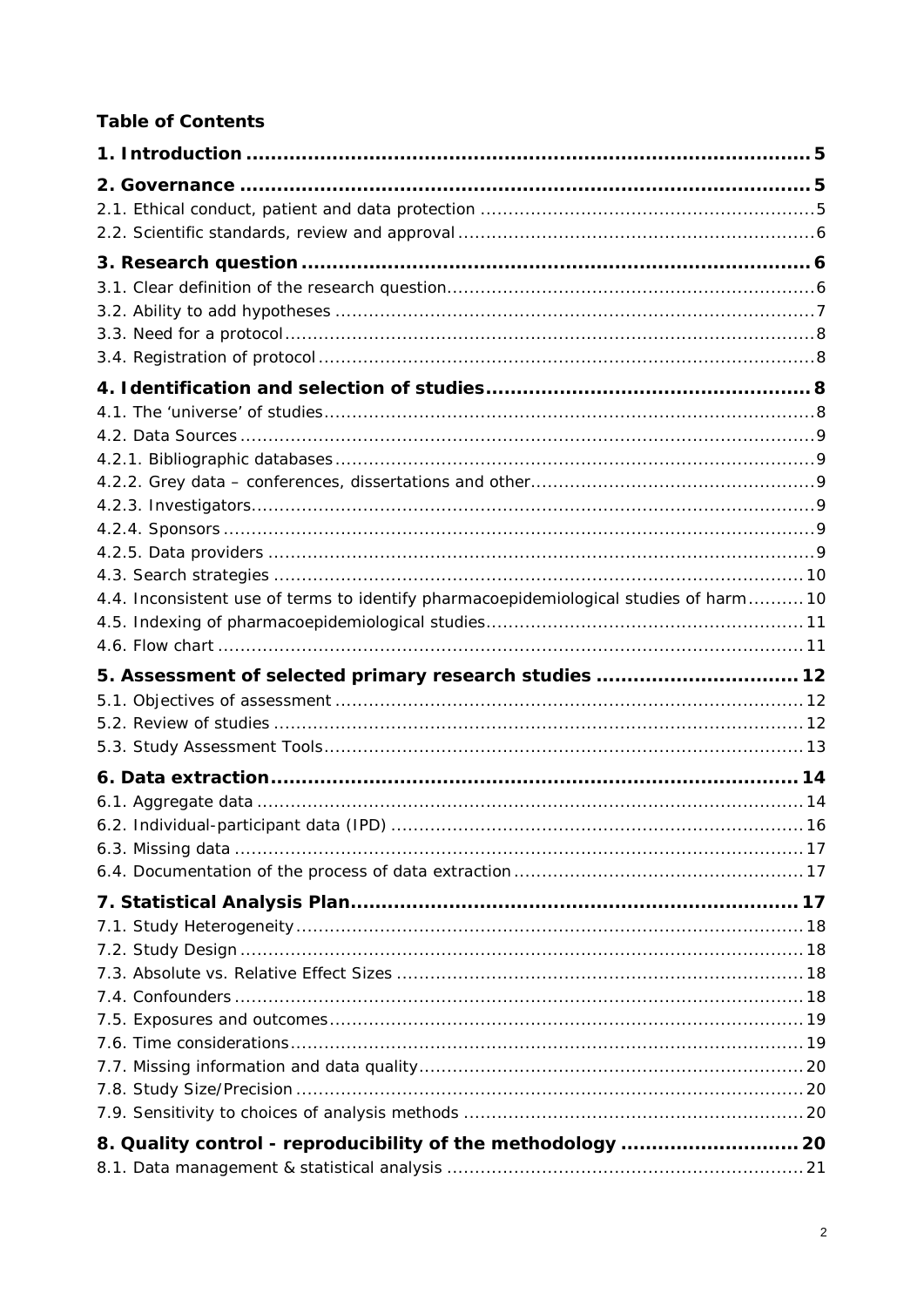# **Table of Contents**

| 4.4. Inconsistent use of terms to identify pharmacoepidemiological studies of harm 10 |  |
|---------------------------------------------------------------------------------------|--|
|                                                                                       |  |
|                                                                                       |  |
|                                                                                       |  |
| 5. Assessment of selected primary research studies  12                                |  |
|                                                                                       |  |
|                                                                                       |  |
|                                                                                       |  |
|                                                                                       |  |
|                                                                                       |  |
|                                                                                       |  |
|                                                                                       |  |
|                                                                                       |  |
|                                                                                       |  |
|                                                                                       |  |
|                                                                                       |  |
|                                                                                       |  |
|                                                                                       |  |
|                                                                                       |  |
|                                                                                       |  |
|                                                                                       |  |
|                                                                                       |  |
|                                                                                       |  |
| 8. Quality control - reproducibility of the methodology  20                           |  |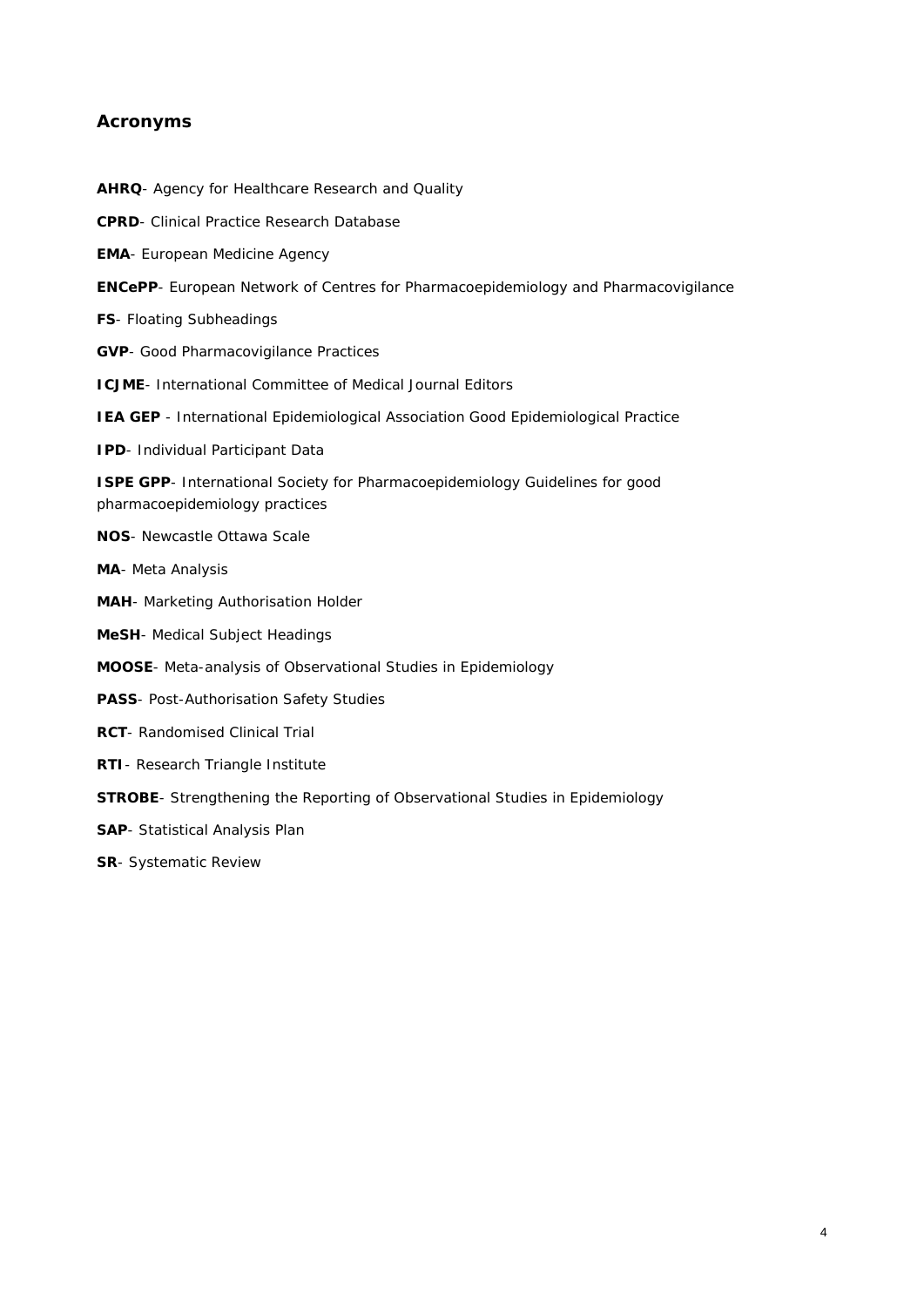#### **Acronyms**

**AHRQ**- Agency for Healthcare Research and Quality **CPRD**- Clinical Practice Research Database **EMA**- European Medicine Agency **ENCePP**- European Network of Centres for Pharmacoepidemiology and Pharmacovigilance **FS**- Floating Subheadings **GVP**- Good Pharmacovigilance Practices **ICJME**- International Committee of Medical Journal Editors **IEA GEP** - International Epidemiological Association Good Epidemiological Practice **IPD**- Individual Participant Data **ISPE GPP-** International Society for Pharmacoepidemiology Guidelines for good pharmacoepidemiology practices **NOS**- Newcastle Ottawa Scale **MA**- Meta Analysis **MAH**- Marketing Authorisation Holder **MeSH**- Medical Subject Headings **MOOSE**- Meta-analysis of Observational Studies in Epidemiology **PASS**- Post-Authorisation Safety Studies **RCT**- Randomised Clinical Trial **RTI**- Research Triangle Institute **STROBE**- Strengthening the Reporting of Observational Studies in Epidemiology **SAP**- Statistical Analysis Plan **SR**- Systematic Review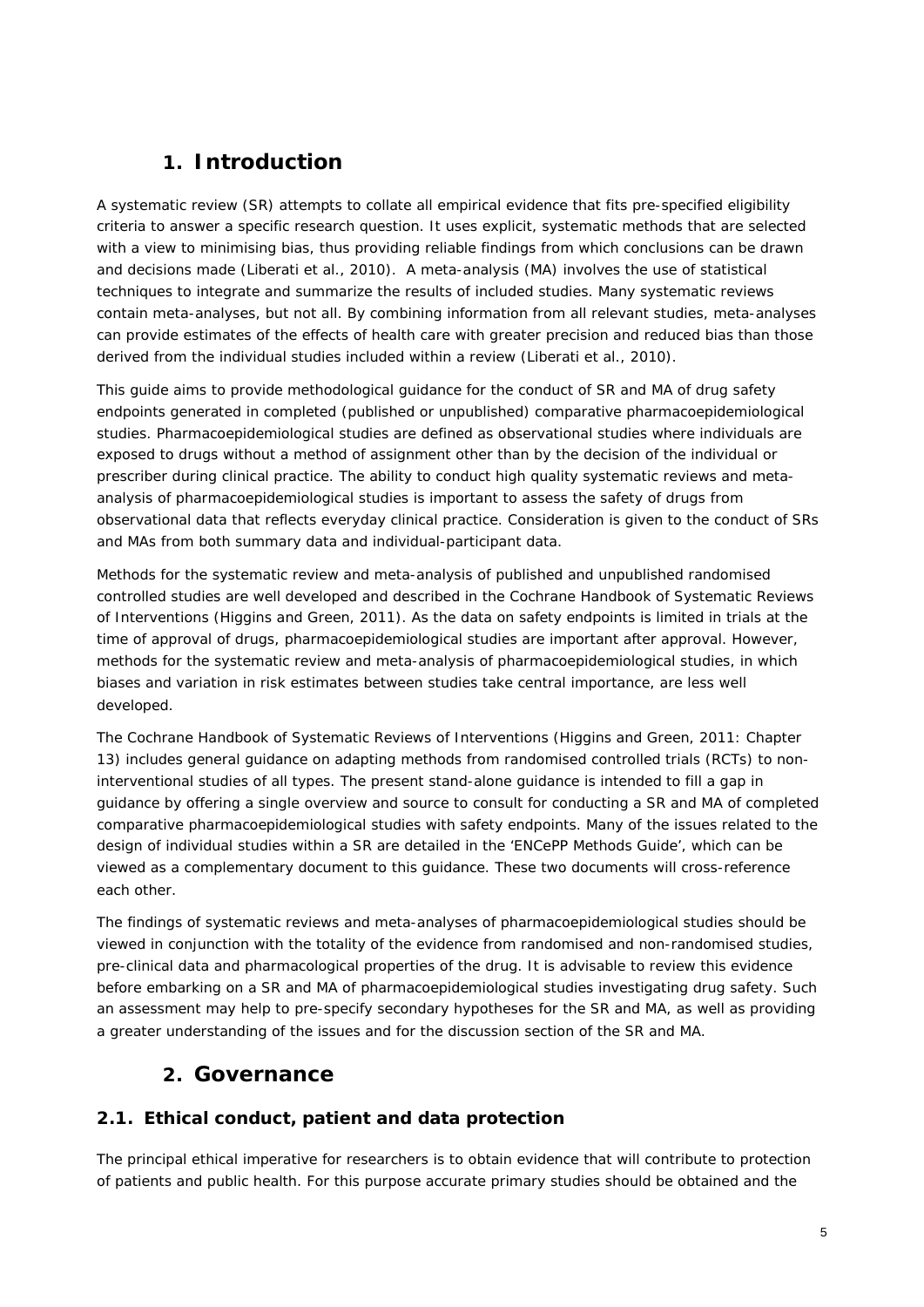# **1. Introduction**

<span id="page-4-0"></span>A systematic review (SR) attempts to collate all empirical evidence that fits pre-specified eligibility criteria to answer a specific research question. It uses explicit, systematic methods that are selected with a view to minimising bias, thus providing reliable findings from which conclusions can be drawn and decisions made (Liberati et al., 2010). A meta-analysis (MA) involves the use of statistical techniques to integrate and summarize the results of included studies. Many systematic reviews contain meta-analyses, but not all. By combining information from all relevant studies, meta-analyses can provide estimates of the effects of health care with greater precision and reduced bias than those derived from the individual studies included within a review (Liberati et al., 2010).

This guide aims to provide methodological guidance for the conduct of SR and MA of drug safety endpoints generated in completed (published or unpublished) comparative pharmacoepidemiological studies. Pharmacoepidemiological studies are defined as observational studies where individuals are exposed to drugs without a method of assignment other than by the decision of the individual or prescriber during clinical practice. The ability to conduct high quality systematic reviews and metaanalysis of pharmacoepidemiological studies is important to assess the safety of drugs from observational data that reflects everyday clinical practice. Consideration is given to the conduct of SRs and MAs from both summary data and individual-participant data.

Methods for the systematic review and meta-analysis of published and unpublished randomised controlled studies are well developed and described in the Cochrane Handbook of Systematic Reviews of Interventions (Higgins and Green, 2011). As the data on safety endpoints is limited in trials at the time of approval of drugs, pharmacoepidemiological studies are important after approval. However, methods for the systematic review and meta-analysis of pharmacoepidemiological studies, in which biases and variation in risk estimates between studies take central importance, are less well developed.

The Cochrane Handbook of Systematic Reviews of Interventions (Higgins and Green, 2011: Chapter 13) includes general guidance on adapting methods from randomised controlled trials (RCTs) to noninterventional studies of all types. The present stand-alone guidance is intended to fill a gap in guidance by offering a single overview and source to consult for conducting a SR and MA of completed comparative pharmacoepidemiological studies with safety endpoints. Many of the issues related to the design of individual studies within a SR are detailed in the 'ENCePP Methods Guide', which can be viewed as a complementary document to this guidance. These two documents will cross-reference each other.

The findings of systematic reviews and meta-analyses of pharmacoepidemiological studies should be viewed in conjunction with the totality of the evidence from randomised and non-randomised studies, pre-clinical data and pharmacological properties of the drug. It is advisable to review this evidence before embarking on a SR and MA of pharmacoepidemiological studies investigating drug safety. Such an assessment may help to pre-specify secondary hypotheses for the SR and MA, as well as providing a greater understanding of the issues and for the discussion section of the SR and MA.

# **2. Governance**

# <span id="page-4-2"></span><span id="page-4-1"></span>*2.1. Ethical conduct, patient and data protection*

The principal ethical imperative for researchers is to obtain evidence that will contribute to protection of patients and public health. For this purpose accurate primary studies should be obtained and the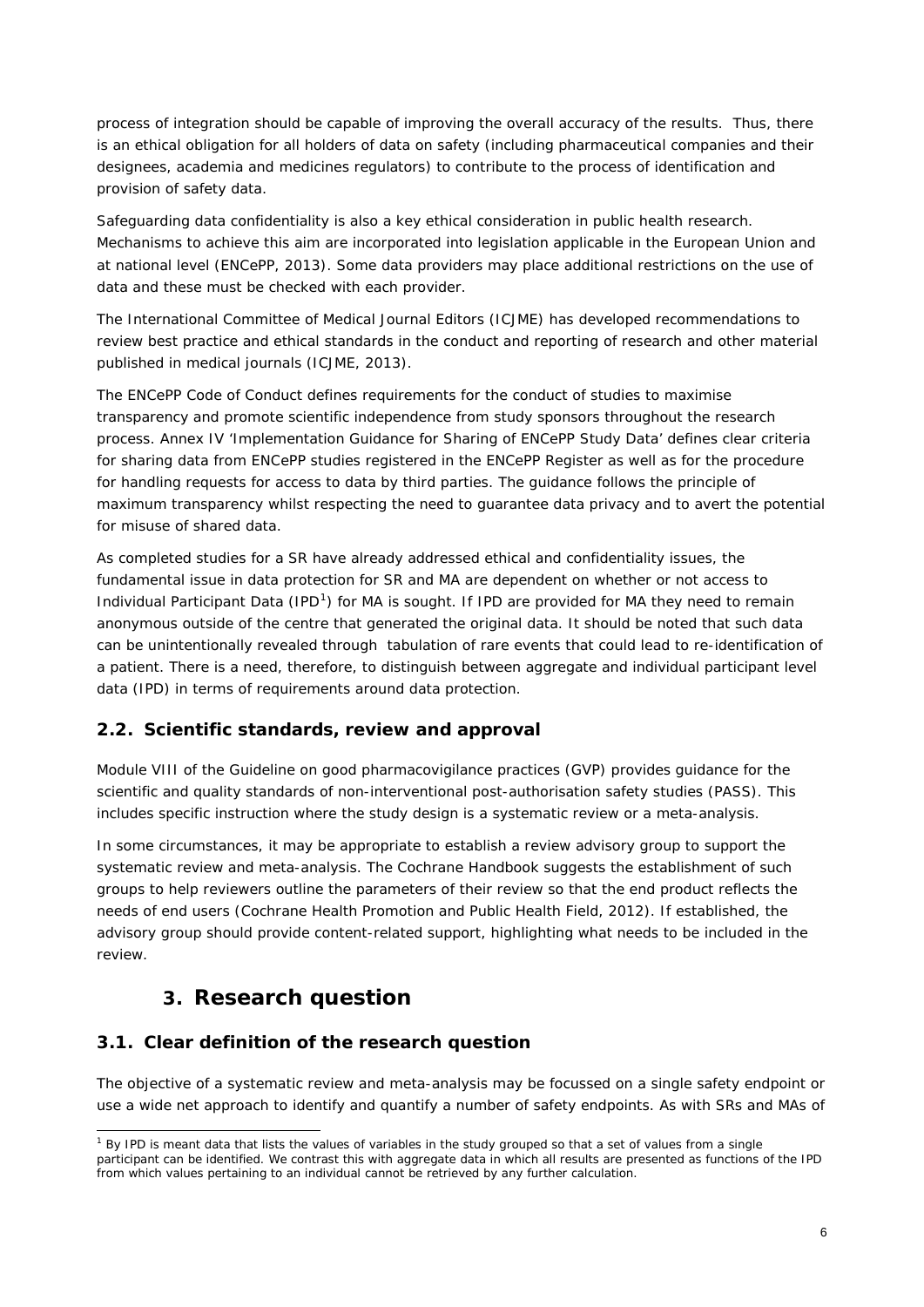process of integration should be capable of improving the overall accuracy of the results. Thus, there is an ethical obligation for all holders of data on safety (including pharmaceutical companies and their designees, academia and medicines regulators) to contribute to the process of identification and provision of safety data.

Safeguarding data confidentiality is also a key ethical consideration in public health research. Mechanisms to achieve this aim are incorporated into legislation applicable in the European Union and at national level (ENCePP, 2013). Some data providers may place additional restrictions on the use of data and these must be checked with each provider.

The [International Committee of Medical Journal Editors \(ICJME\)](http://www.icmje.org/) has developed recommendations to review best practice and ethical standards in the conduct and reporting of research and other material published in medical journals (ICJME, 2013).

The ENCePP Code of Conduct defines requirements for the conduct of studies to maximise transparency and promote scientific independence from study sponsors throughout the research process. Annex IV 'Implementation Guidance for Sharing of ENCePP Study Data' defines clear criteria for sharing data from ENCePP studies registered in the ENCePP Register as well as for the procedure for handling requests for access to data by third parties. The guidance follows the principle of maximum transparency whilst respecting the need to guarantee data privacy and to avert the potential for misuse of shared data.

As completed studies for a SR have already addressed ethical and confidentiality issues, the fundamental issue in data protection for SR and MA are dependent on whether or not access to Individual Participant Data (IPD<sup>[1](#page-5-3)</sup>) for MA is sought. If IPD are provided for MA they need to remain anonymous outside of the centre that generated the original data. It should be noted that such data can be unintentionally revealed through tabulation of rare events that could lead to re-identification of a patient. There is a need, therefore, to distinguish between aggregate and individual participant level data (IPD) in terms of requirements around data protection.

### <span id="page-5-0"></span>*2.2. Scientific standards, review and approval*

Module VIII of the Guideline on good pharmacovigilance practices (GVP) provides guidance for the scientific and quality standards of non-interventional post-authorisation safety studies (PASS). This includes specific instruction where the study design is a systematic review or a meta-analysis.

In some circumstances, it may be appropriate to establish a review advisory group to support the systematic review and meta-analysis. The Cochrane Handbook suggests the establishment of such groups to help reviewers outline the parameters of their review so that the end product reflects the needs of end users (Cochrane Health Promotion and Public Health Field, 2012). If established, the advisory group should provide content-related support, highlighting what needs to be included in the review.

# **3. Research question**

#### <span id="page-5-2"></span><span id="page-5-1"></span>*3.1. Clear definition of the research question*

The objective of a systematic review and meta-analysis may be focussed on a single safety endpoint or use a wide net approach to identify and quantify a number of safety endpoints. As with SRs and MAs of

<span id="page-5-3"></span> $1$  By IPD is meant data that lists the values of variables in the study grouped so that a set of values from a single participant can be identified. We contrast this with aggregate data in which all results are presented as functions of the IPD from which values pertaining to an individual cannot be retrieved by any further calculation.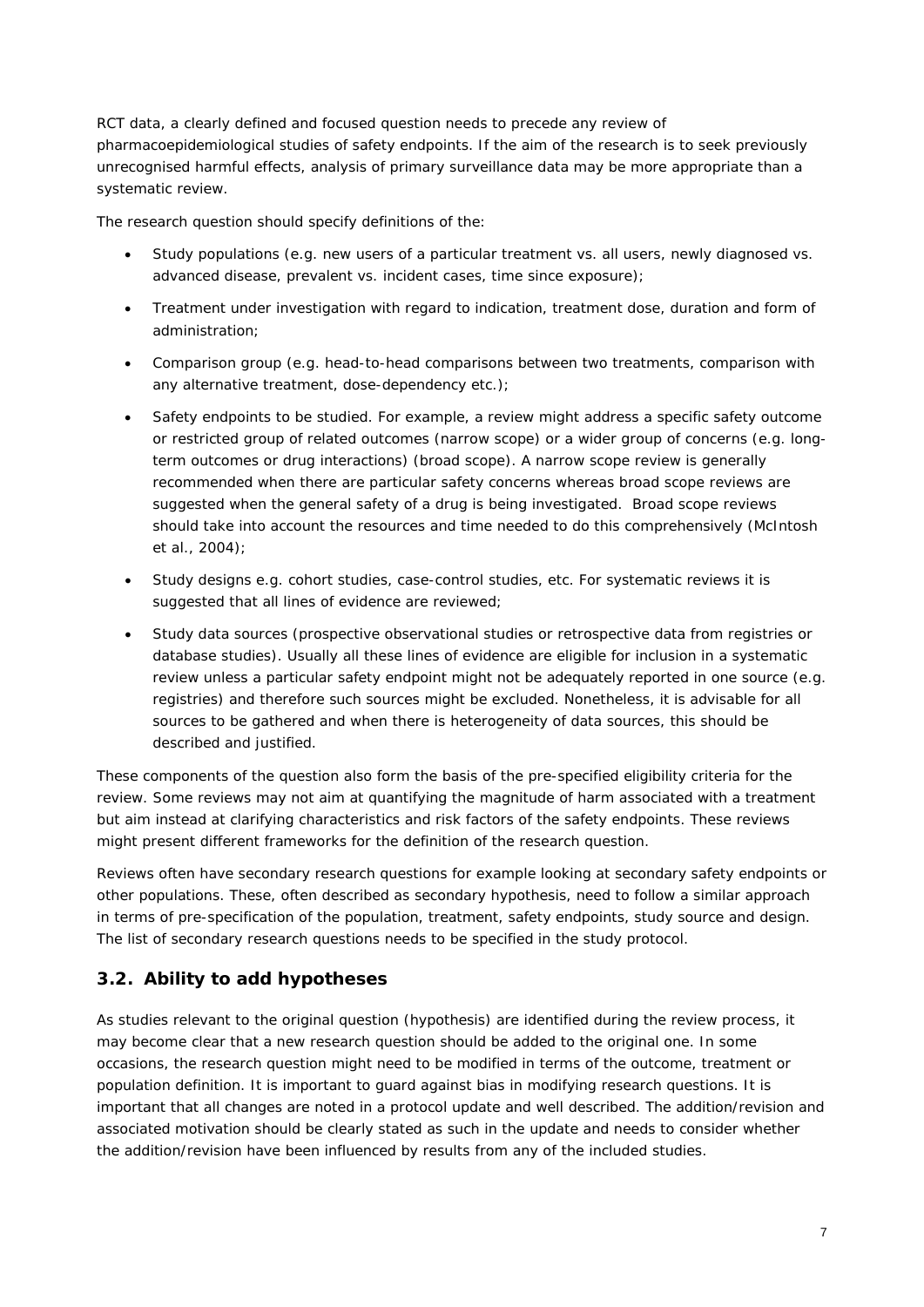RCT data, a clearly defined and focused question needs to precede any review of pharmacoepidemiological studies of safety endpoints. If the aim of the research is to seek previously unrecognised harmful effects, analysis of primary surveillance data may be more appropriate than a systematic review.

The research question should specify definitions of the:

- Study populations (e.g. new users of a particular treatment vs. all users, newly diagnosed vs. advanced disease, prevalent vs. incident cases, time since exposure);
- Treatment under investigation with regard to indication, treatment dose, duration and form of administration;
- Comparison group (e.g. head-to-head comparisons between two treatments, comparison with any alternative treatment, dose-dependency etc.);
- Safety endpoints to be studied. For example, a review might address a specific safety outcome or restricted group of related outcomes (narrow scope) or a wider group of concerns (e.g. longterm outcomes or drug interactions) (broad scope). A narrow scope review is generally recommended when there are particular safety concerns whereas broad scope reviews are suggested when the general safety of a drug is being investigated. Broad scope reviews should take into account the resources and time needed to do this comprehensively (McIntosh et al., 2004);
- Study designs e.g. cohort studies, case-control studies, etc. For systematic reviews it is suggested that all lines of evidence are reviewed;
- Study data sources (prospective observational studies or retrospective data from registries or database studies). Usually all these lines of evidence are eligible for inclusion in a systematic review unless a particular safety endpoint might not be adequately reported in one source (e.g. registries) and therefore such sources might be excluded. Nonetheless, it is advisable for all sources to be gathered and when there is heterogeneity of data sources, this should be described and justified.

These components of the question also form the basis of the pre-specified eligibility criteria for the review. Some reviews may not aim at quantifying the magnitude of harm associated with a treatment but aim instead at clarifying characteristics and risk factors of the safety endpoints. These reviews might present different frameworks for the definition of the research question.

Reviews often have secondary research questions for example looking at secondary safety endpoints or other populations. These, often described as secondary hypothesis, need to follow a similar approach in terms of pre-specification of the population, treatment, safety endpoints, study source and design. The list of secondary research questions needs to be specified in the study protocol.

### <span id="page-6-0"></span>*3.2. Ability to add hypotheses*

As studies relevant to the original question (hypothesis) are identified during the review process, it may become clear that a new research question should be added to the original one. In some occasions, the research question might need to be modified in terms of the outcome, treatment or population definition. It is important to guard against bias in modifying research questions. It is important that all changes are noted in a protocol update and well described. The addition/revision and associated motivation should be clearly stated as such in the update and needs to consider whether the addition/revision have been influenced by results from any of the included studies.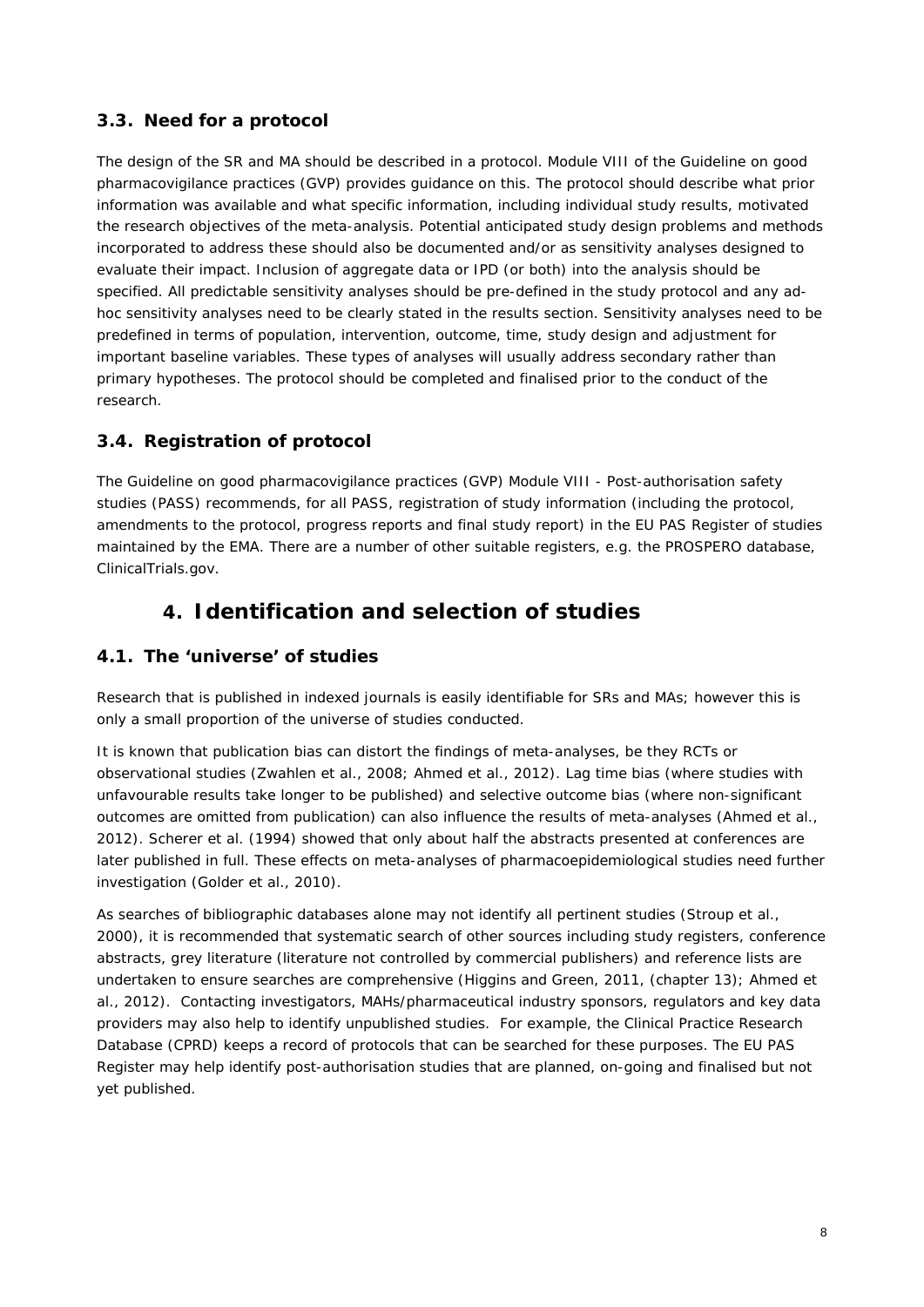## <span id="page-7-0"></span>*3.3. Need for a protocol*

The design of the SR and MA should be described in a protocol. Module VIII of the Guideline on good pharmacovigilance practices (GVP) provides guidance on this. The protocol should describe what prior information was available and what specific information, including individual study results, motivated the research objectives of the meta-analysis. Potential anticipated study design problems and methods incorporated to address these should also be documented and/or as sensitivity analyses designed to evaluate their impact. Inclusion of aggregate data or IPD (or both) into the analysis should be specified. All predictable sensitivity analyses should be pre-defined in the study protocol and any adhoc sensitivity analyses need to be clearly stated in the results section. Sensitivity analyses need to be predefined in terms of population, intervention, outcome, time, study design and adjustment for important baseline variables. These types of analyses will usually address secondary rather than primary hypotheses. The protocol should be completed and finalised prior to the conduct of the research.

## <span id="page-7-1"></span>*3.4. Registration of protocol*

The [Guideline on good pharmacovigilance practices \(GVP\) Module VIII -](http://www.ema.europa.eu/docs/en_GB/document_library/Scientific_guideline/2012/06/WC500129137.pdf) Post-authorisation safety [studies](http://www.ema.europa.eu/docs/en_GB/document_library/Scientific_guideline/2012/06/WC500129137.pdf) (PASS) recommends, for all PASS, registration of study information (including the protocol, amendments to the protocol, progress reports and final study report) in the EU PAS Register [of studies](http://www.encepp.eu/encepp/studiesDatabase.jsp) [maintained by the EMA.](http://www.encepp.eu/encepp/studiesDatabase.jsp) There are a number of other suitable registers, e.g. the PROSPERO database, ClinicalTrials.gov.

# **4. Identification and selection of studies**

### <span id="page-7-3"></span><span id="page-7-2"></span>*4.1. The 'universe' of studies*

Research that is published in indexed journals is easily identifiable for SRs and MAs; however this is only a small proportion of the universe of studies conducted.

It is known that publication bias can distort the findings of meta-analyses, be they RCTs or observational studies (Zwahlen et al., 2008; Ahmed et al., 2012). Lag time bias (where studies with unfavourable results take longer to be published) and selective outcome bias (where non-significant outcomes are omitted from publication) can also influence the results of meta-analyses (Ahmed et al., 2012). Scherer et al. (1994) showed that only about half the abstracts presented at conferences are later published in full. These effects on meta-analyses of pharmacoepidemiological studies need further investigation (Golder et al., 2010).

As searches of bibliographic databases alone may not identify all pertinent studies (Stroup et al., 2000), it is recommended that systematic search of other sources including study registers, conference abstracts, grey literature (literature not controlled by commercial publishers) and reference lists are undertaken to ensure searches are comprehensive (Higgins and Green, 2011, (chapter 13); Ahmed et al., 2012). Contacting investigators, MAHs/pharmaceutical industry sponsors, regulators and key data providers may also help to identify unpublished studies. For example, the Clinical Practice Research Database (CPRD) keeps a record of protocols that can be searched for these purposes. The EU PAS Register may help identify post-authorisation studies that are planned, on-going and finalised but not yet published.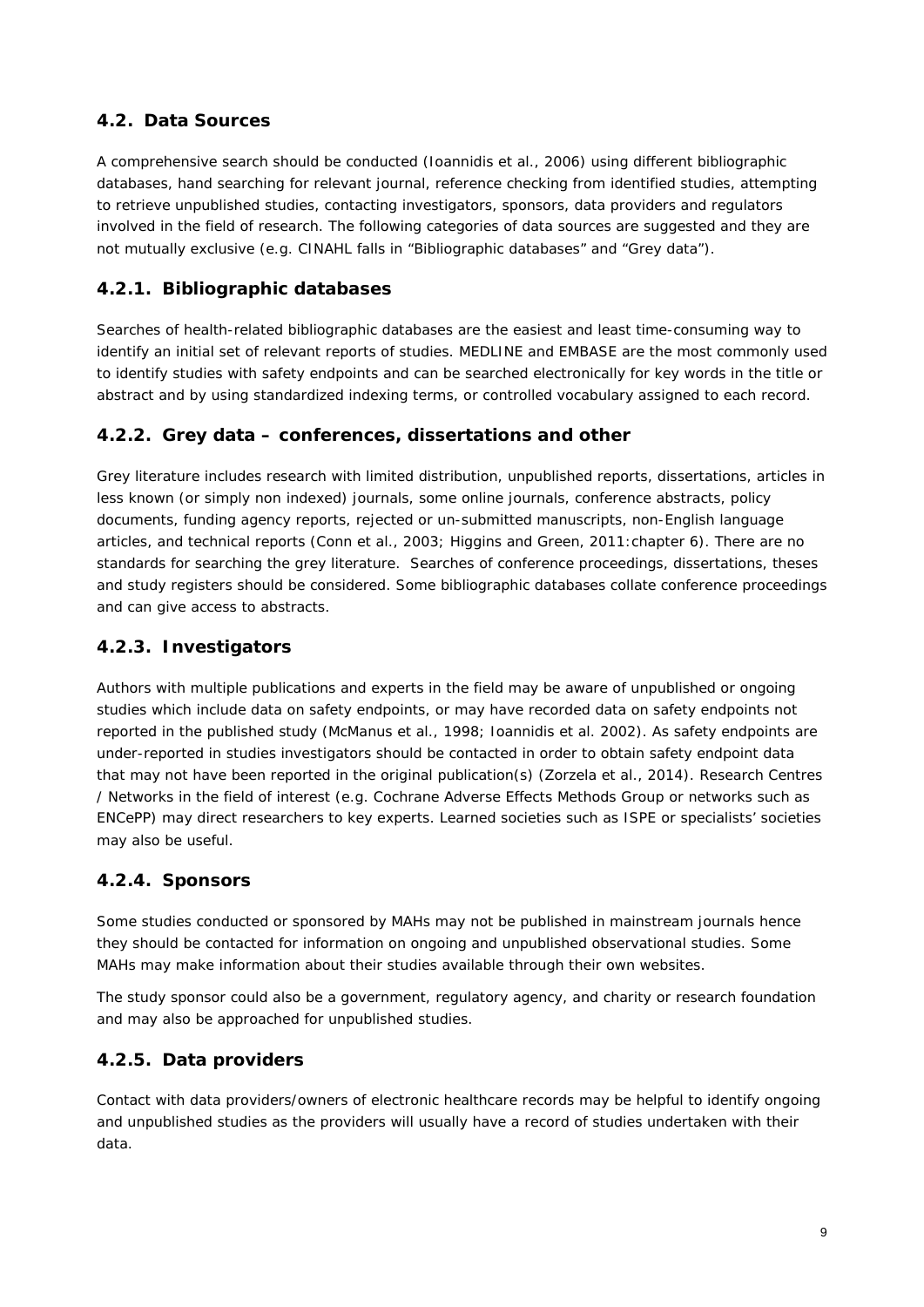## <span id="page-8-0"></span>*4.2. Data Sources*

A comprehensive search should be conducted (Ioannidis et al., 2006) using different bibliographic databases, hand searching for relevant journal, reference checking from identified studies, attempting to retrieve unpublished studies, contacting investigators, sponsors, data providers and regulators involved in the field of research. The following categories of data sources are suggested and they are not mutually exclusive (e.g. CINAHL falls in "Bibliographic databases" and "Grey data").

## <span id="page-8-1"></span>**4.2.1. Bibliographic databases**

Searches of health-related bibliographic databases are the easiest and least time-consuming way to identify an initial set of relevant reports of studies. MEDLINE and EMBASE are the most commonly used to identify studies with safety endpoints and can be searched electronically for key words in the title or abstract and by using standardized indexing terms, or controlled vocabulary assigned to each record.

### <span id="page-8-2"></span>**4.2.2. Grey data – conferences, dissertations and other**

Grey literature includes research with limited distribution, unpublished reports, dissertations, articles in less known (or simply non indexed) journals, some online journals, conference abstracts, policy documents, funding agency reports, rejected or un-submitted manuscripts, non-English language articles, and technical reports (Conn et al., 2003; Higgins and Green, 2011:chapter 6). There are no standards for searching the grey literature. Searches of conference proceedings, dissertations, theses and study registers should be considered. Some bibliographic databases collate conference proceedings and can give access to abstracts.

## <span id="page-8-3"></span>**4.2.3. Investigators**

Authors with multiple publications and experts in the field may be aware of unpublished or ongoing studies which include data on safety endpoints, or may have recorded data on safety endpoints not reported in the published study (McManus et al., 1998; Ioannidis et al. 2002). As safety endpoints are under-reported in studies investigators should be contacted in order to obtain safety endpoint data that may not have been reported in the original publication(s) (Zorzela et al., 2014). Research Centres / Networks in the field of interest (e.g. Cochrane Adverse Effects Methods Group or networks such as ENCePP) may direct researchers to key experts. Learned societies such as ISPE or specialists' societies may also be useful.

### <span id="page-8-4"></span>**4.2.4. Sponsors**

Some studies conducted or sponsored by MAHs may not be published in mainstream journals hence they should be contacted for information on ongoing and unpublished observational studies. Some MAHs may make information about their studies available through their own websites.

The study sponsor could also be a government, regulatory agency, and charity or research foundation and may also be approached for unpublished studies.

### <span id="page-8-5"></span>**4.2.5. Data providers**

Contact with data providers/owners of electronic healthcare records may be helpful to identify ongoing and unpublished studies as the providers will usually have a record of studies undertaken with their data.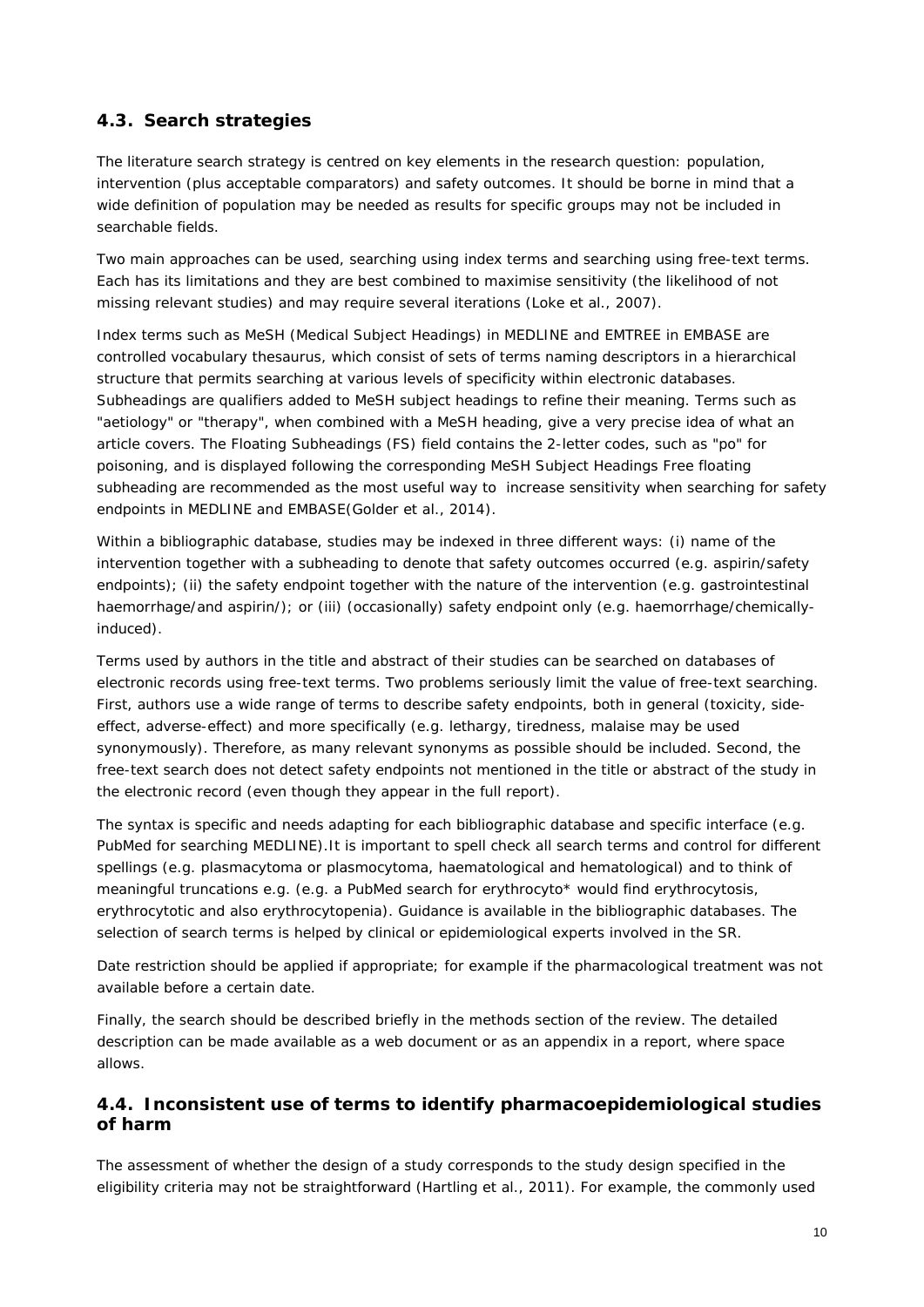## <span id="page-9-0"></span>*4.3. Search strategies*

The literature search strategy is centred on key elements in the research question: population, intervention (plus acceptable comparators) and safety outcomes. It should be borne in mind that a wide definition of population may be needed as results for specific groups may not be included in searchable fields.

Two main approaches can be used, searching using index terms and searching using free-text terms. Each has its limitations and they are best combined to maximise sensitivity (the likelihood of not missing relevant studies) and may require several iterations (Loke et al., 2007).

Index terms such as MeSH (Medical Subject Headings) in MEDLINE and EMTREE in EMBASE are controlled vocabulary thesaurus, which consist of sets of terms naming descriptors in a hierarchical structure that permits searching at various levels of specificity within electronic databases. Subheadings are qualifiers added to MeSH subject headings to refine their meaning. Terms such as "aetiology" or "therapy", when combined with a MeSH heading, give a very precise idea of what an article covers. The Floating Subheadings (FS) field contains the 2-letter codes, such as "po" for poisoning, and is displayed following the corresponding MeSH Subject Headings Free floating subheading are recommended as the most useful way to increase sensitivity when searching for safety endpoints in MEDLINE and EMBASE(Golder et al., 2014).

Within a bibliographic database, studies may be indexed in three different ways: (i) name of the intervention together with a subheading to denote that safety outcomes occurred (e.g. aspirin/safety endpoints); (ii) the safety endpoint together with the nature of the intervention (e.g. gastrointestinal haemorrhage/and aspirin/); or (iii) (occasionally) safety endpoint only (e.g. haemorrhage/chemicallyinduced).

Terms used by authors in the title and abstract of their studies can be searched on databases of electronic records using free-text terms. Two problems seriously limit the value of free-text searching. First, authors use a wide range of terms to describe safety endpoints, both in general (toxicity, sideeffect, adverse-effect) and more specifically (e.g. lethargy, tiredness, malaise may be used synonymously). Therefore, as many relevant synonyms as possible should be included. Second, the free-text search does not detect safety endpoints not mentioned in the title or abstract of the study in the electronic record (even though they appear in the full report).

The syntax is specific and needs adapting for each bibliographic database and specific interface (e.g. PubMed for searching MEDLINE).It is important to spell check all search terms and control for different spellings (e.g. plasmacytoma or plasmocytoma, haematological and hematological) and to think of meaningful truncations e.g. (e.g. a PubMed search for erythrocyto\* would find erythrocytosis, erythrocytotic and also erythrocytopenia). Guidance is available in the bibliographic databases. The selection of search terms is helped by clinical or epidemiological experts involved in the SR.

Date restriction should be applied if appropriate; for example if the pharmacological treatment was not available before a certain date.

Finally, the search should be described briefly in the methods section of the review. The detailed description can be made available as a web document or as an appendix in a report, where space allows.

### <span id="page-9-1"></span>*4.4. Inconsistent use of terms to identify pharmacoepidemiological studies of harm*

The assessment of whether the design of a study corresponds to the study design specified in the eligibility criteria may not be straightforward (Hartling et al., 2011). For example, the commonly used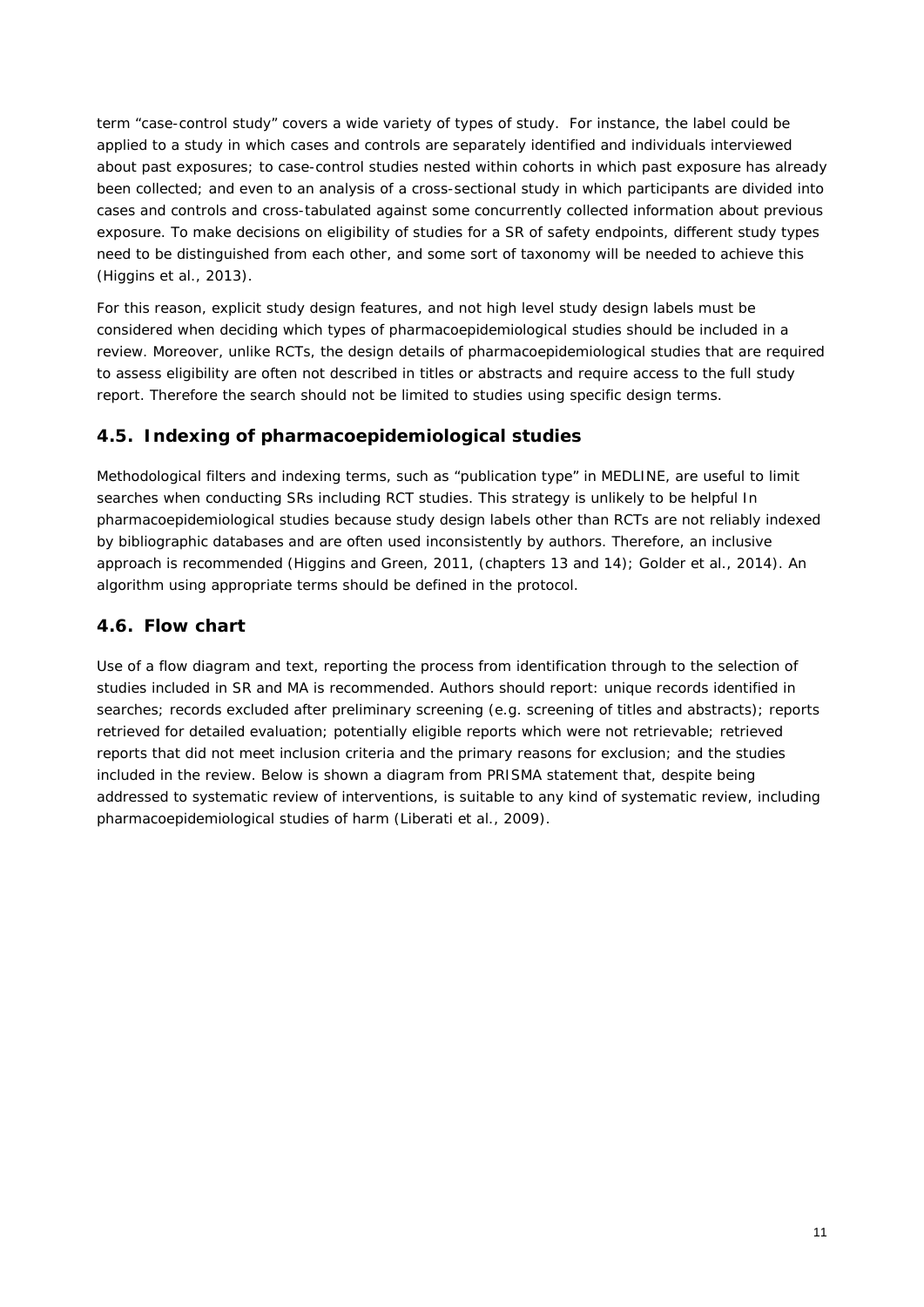term "case-control study" covers a wide variety of types of study. For instance, the label could be applied to a study in which cases and controls are separately identified and individuals interviewed about past exposures; to case-control studies nested within cohorts in which past exposure has already been collected; and even to an analysis of a cross-sectional study in which participants are divided into cases and controls and cross-tabulated against some concurrently collected information about previous exposure. To make decisions on eligibility of studies for a SR of safety endpoints, different study types need to be distinguished from each other, and some sort of taxonomy will be needed to achieve this (Higgins et al., 2013).

For this reason, explicit study design features, and not high level study design labels must be considered when deciding which types of pharmacoepidemiological studies should be included in a review. Moreover, unlike RCTs, the design details of pharmacoepidemiological studies that are required to assess eligibility are often not described in titles or abstracts and require access to the full study report. Therefore the search should not be limited to studies using specific design terms.

### <span id="page-10-0"></span>*4.5. Indexing of pharmacoepidemiological studies*

Methodological filters and indexing terms, such as "publication type" in MEDLINE, are useful to limit searches when conducting SRs including RCT studies. This strategy is unlikely to be helpful In pharmacoepidemiological studies because study design labels other than RCTs are not reliably indexed by bibliographic databases and are often used inconsistently by authors. Therefore, an inclusive approach is recommended (Higgins and Green, 2011, (chapters 13 and 14); Golder et al., 2014). An algorithm using appropriate terms should be defined in the protocol.

## <span id="page-10-1"></span>*4.6. Flow chart*

Use of a flow diagram and text, reporting the process from identification through to the selection of studies included in SR and MA is recommended. Authors should report: unique records identified in searches; records excluded after preliminary screening (e.g. screening of titles and abstracts); reports retrieved for detailed evaluation; potentially eligible reports which were not retrievable; retrieved reports that did not meet inclusion criteria and the primary reasons for exclusion; and the studies included in the review. Below is shown a diagram from PRISMA statement that, despite being addressed to systematic review of interventions, is suitable to any kind of systematic review, including pharmacoepidemiological studies of harm (Liberati et al., 2009).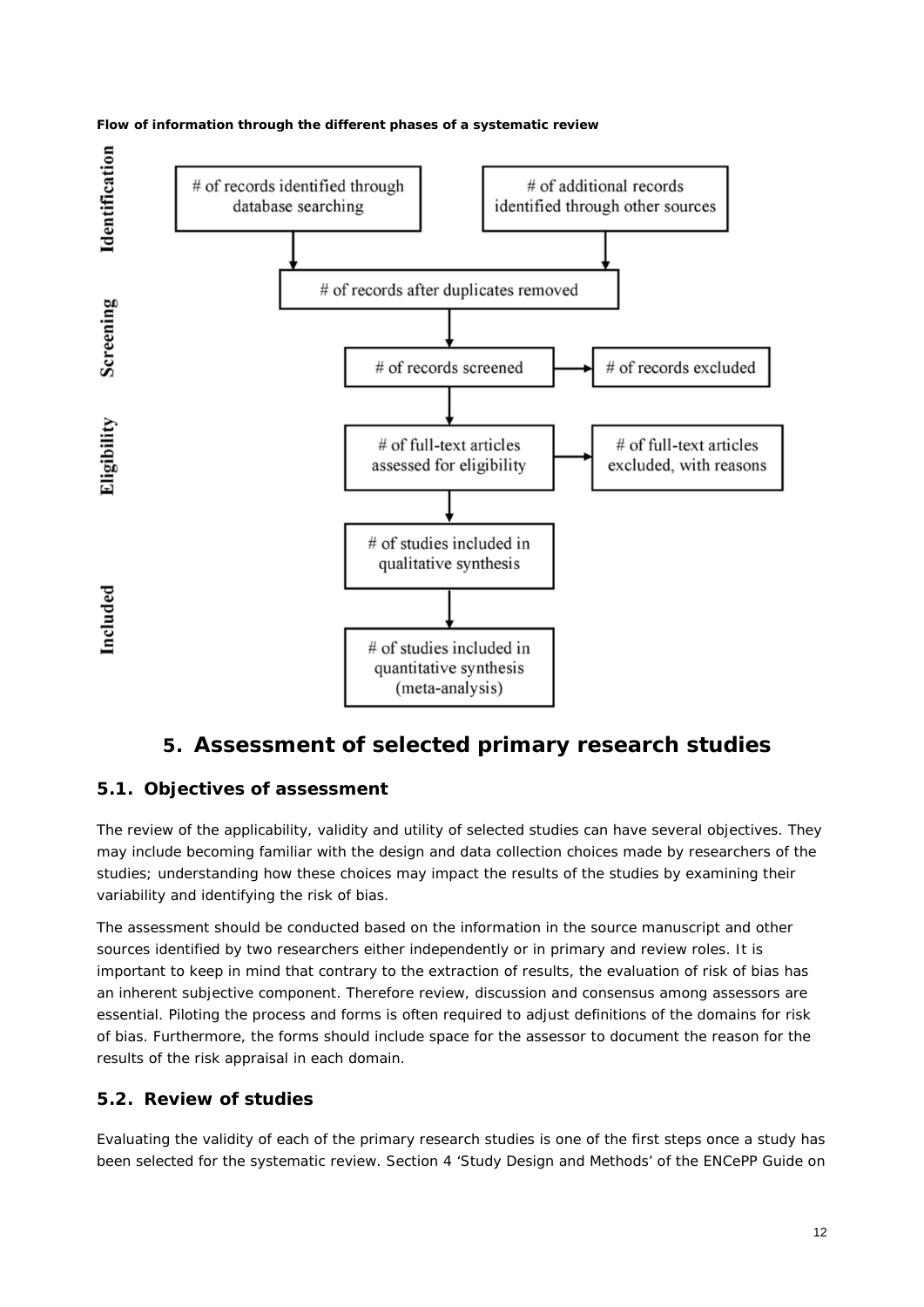



# **5. Assessment of selected primary research studies**

# <span id="page-11-1"></span><span id="page-11-0"></span>*5.1. Objectives of assessment*

The review of the applicability, validity and utility of selected studies can have several objectives. They may include becoming familiar with the design and data collection choices made by researchers of the studies; understanding how these choices may impact the results of the studies by examining their variability and identifying the risk of bias.

The assessment should be conducted based on the information in the source manuscript and other sources identified by two researchers either independently or in primary and review roles. It is important to keep in mind that contrary to the extraction of results, the evaluation of risk of bias has an inherent subjective component. Therefore review, discussion and consensus among assessors are essential. Piloting the process and forms is often required to adjust definitions of the domains for risk of bias. Furthermore, the forms should include space for the assessor to document the reason for the results of the risk appraisal in each domain.

### <span id="page-11-2"></span>*5.2. Review of studies*

Evaluating the validity of each of the primary research studies is one of the first steps once a study has been selected for the systematic review. Section 4 'Study Design and Methods' of the ENCePP Guide on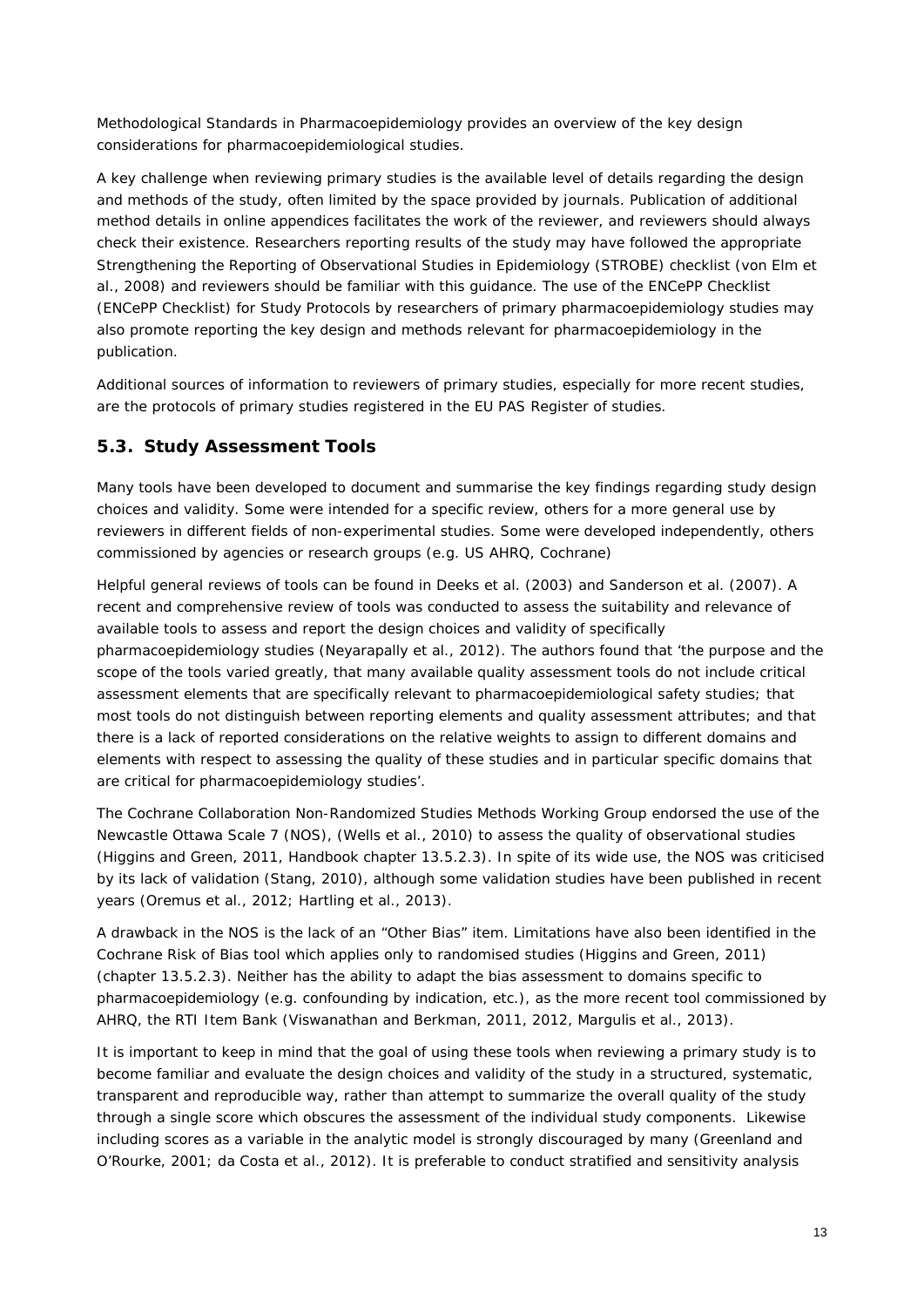Methodological Standards in Pharmacoepidemiology provides an overview of the key design considerations for pharmacoepidemiological studies.

A key challenge when reviewing primary studies is the available level of details regarding the design and methods of the study, often limited by the space provided by journals. Publication of additional method details in online appendices facilitates the work of the reviewer, and reviewers should always check their existence. Researchers reporting results of the study may have followed the appropriate Strengthening the Reporting of Observational Studies in Epidemiology (STROBE) checklist (von Elm et al., 2008) and reviewers should be familiar with this guidance. The use of the ENCePP Checklist (ENCePP Checklist) for Study Protocols by researchers of primary pharmacoepidemiology studies may also promote reporting the key design and methods relevant for pharmacoepidemiology in the publication.

Additional sources of information to reviewers of primary studies, especially for more recent studies, are the protocols of primary studies registered in the EU PAS Register of studies.

### <span id="page-12-0"></span>*5.3. Study Assessment Tools*

Many tools have been developed to document and summarise the key findings regarding study design choices and validity. Some were intended for a specific review, others for a more general use by reviewers in different fields of non-experimental studies. Some were developed independently, others commissioned by agencies or research groups (e.g. US AHRQ, Cochrane)

Helpful general reviews of tools can be found in Deeks et al. (2003) and Sanderson et al. (2007). A recent and comprehensive review of tools was conducted to assess the suitability and relevance of available tools to assess and report the design choices and validity of specifically pharmacoepidemiology studies (Neyarapally et al., 2012). The authors found that 'the purpose and the scope of the tools varied greatly, that many available quality assessment tools do not include critical assessment elements that are specifically relevant to pharmacoepidemiological safety studies; that most tools do not distinguish between reporting elements and quality assessment attributes; and that there is a lack of reported considerations on the relative weights to assign to different domains and elements with respect to assessing the quality of these studies and in particular specific domains that are critical for pharmacoepidemiology studies'.

The Cochrane Collaboration Non-Randomized Studies Methods Working Group endorsed the use of the Newcastle Ottawa Scale 7 (NOS), (Wells et al., 2010) to assess the quality of observational studies (Higgins and Green, 2011, Handbook chapter 13.5.2.3). In spite of its wide use, the NOS was criticised by its lack of validation (Stang, 2010), although some validation studies have been published in recent years (Oremus et al., 2012; Hartling et al., 2013).

A drawback in the NOS is the lack of an "Other Bias" item. Limitations have also been identified in the Cochrane Risk of Bias tool which applies only to randomised studies (Higgins and Green, 2011) (chapter 13.5.2.3). Neither has the ability to adapt the bias assessment to domains specific to pharmacoepidemiology (e.g. confounding by indication, etc.), as the more recent tool commissioned by AHRQ, the RTI Item Bank (Viswanathan and Berkman, 2011, 2012, Margulis et al., 2013).

It is important to keep in mind that the goal of using these tools when reviewing a primary study is to become familiar and evaluate the design choices and validity of the study in a structured, systematic, transparent and reproducible way, rather than attempt to summarize the overall quality of the study through a single score which obscures the assessment of the individual study components. Likewise including scores as a variable in the analytic model is strongly discouraged by many (Greenland and O'Rourke, 2001; da Costa et al., 2012). It is preferable to conduct stratified and sensitivity analysis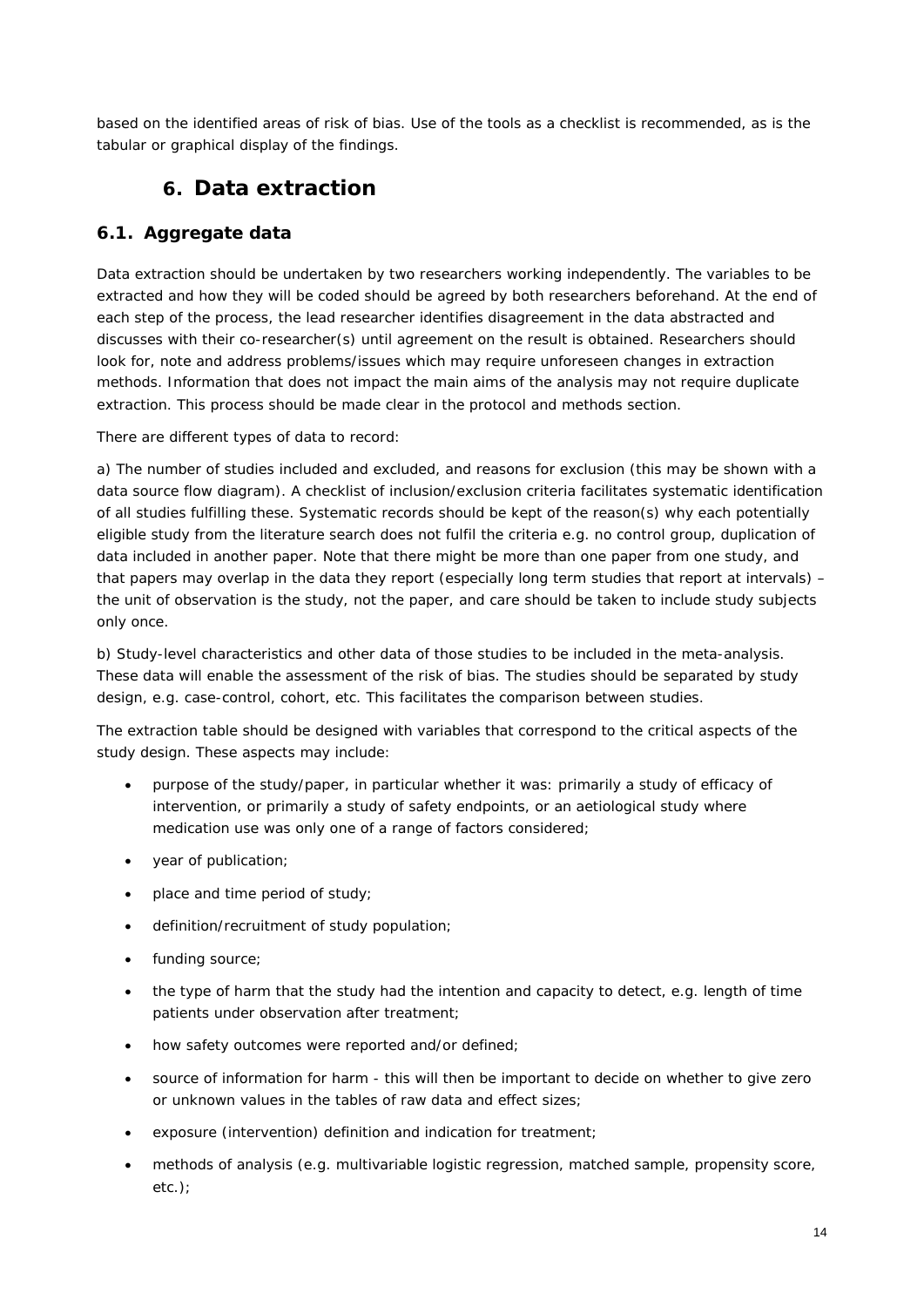<span id="page-13-0"></span>based on the identified areas of risk of bias. Use of the tools as a checklist is recommended, as is the tabular or graphical display of the findings.

# **6. Data extraction**

## <span id="page-13-1"></span>*6.1. Aggregate data*

Data extraction should be undertaken by two researchers working independently. The variables to be extracted and how they will be coded should be agreed by both researchers beforehand. At the end of each step of the process, the lead researcher identifies disagreement in the data abstracted and discusses with their co-researcher(s) until agreement on the result is obtained. Researchers should look for, note and address problems/issues which may require unforeseen changes in extraction methods. Information that does not impact the main aims of the analysis may not require duplicate extraction. This process should be made clear in the protocol and methods section.

There are different types of data to record:

a) The number of studies included and excluded, and reasons for exclusion (this may be shown with a data source flow diagram). A checklist of inclusion/exclusion criteria facilitates systematic identification of all studies fulfilling these. Systematic records should be kept of the reason(s) why each potentially eligible study from the literature search does not fulfil the criteria e.g. no control group, duplication of data included in another paper. Note that there might be more than one paper from one study, and that papers may overlap in the data they report (especially long term studies that report at intervals) – the unit of observation is the study, not the paper, and care should be taken to include study subjects only once.

b) Study-level characteristics and other data of those studies to be included in the meta-analysis. These data will enable the assessment of the risk of bias. The studies should be separated by study design, e.g. case-control, cohort, etc. This facilitates the comparison between studies.

The extraction table should be designed with variables that correspond to the critical aspects of the study design. These aspects may include:

- purpose of the study/paper, in particular whether it was: primarily a study of efficacy of intervention, or primarily a study of safety endpoints, or an aetiological study where medication use was only one of a range of factors considered;
- year of publication;
- place and time period of study;
- definition/recruitment of study population;
- funding source;
- the type of harm that the study had the intention and capacity to detect, e.g. length of time patients under observation after treatment;
- how safety outcomes were reported and/or defined;
- source of information for harm this will then be important to decide on whether to give zero or unknown values in the tables of raw data and effect sizes;
- exposure (intervention) definition and indication for treatment;
- methods of analysis (e.g. multivariable logistic regression, matched sample, propensity score, etc.);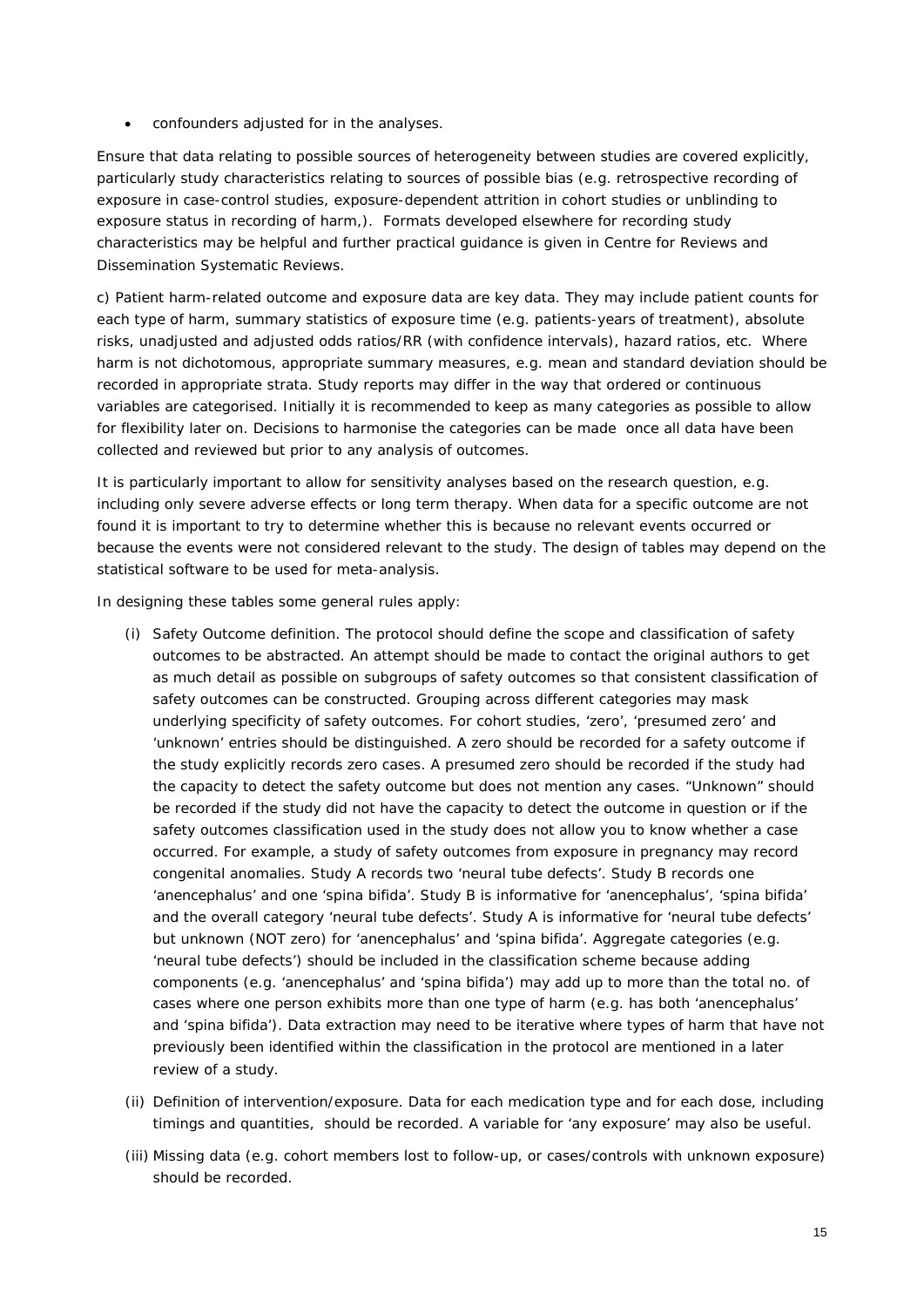• confounders adjusted for in the analyses.

Ensure that data relating to possible sources of heterogeneity between studies are covered explicitly, particularly study characteristics relating to sources of possible bias (e.g. retrospective recording of exposure in case-control studies, exposure-dependent attrition in cohort studies or unblinding to exposure status in recording of harm,). Formats developed elsewhere for recording study characteristics may be helpful and further practical guidance is given in Centre for Reviews and Dissemination Systematic Reviews.

c) Patient harm-related outcome and exposure data are key data. They may include patient counts for each type of harm, summary statistics of exposure time (e.g. patients-years of treatment), absolute risks, unadjusted and adjusted odds ratios/RR (with confidence intervals), hazard ratios, etc. Where harm is not dichotomous, appropriate summary measures, e.g. mean and standard deviation should be recorded in appropriate strata. Study reports may differ in the way that ordered or continuous variables are categorised. Initially it is recommended to keep as many categories as possible to allow for flexibility later on. Decisions to harmonise the categories can be made once all data have been collected and reviewed but prior to any analysis of outcomes.

It is particularly important to allow for sensitivity analyses based on the research question, e.g. including only severe adverse effects or long term therapy. When data for a specific outcome are not found it is important to try to determine whether this is because no relevant events occurred or because the events were not considered relevant to the study. The design of tables may depend on the statistical software to be used for meta-analysis.

In designing these tables some general rules apply:

- (i) Safety Outcome definition. The protocol should define the scope and classification of safety outcomes to be abstracted. An attempt should be made to contact the original authors to get as much detail as possible on subgroups of safety outcomes so that consistent classification of safety outcomes can be constructed. Grouping across different categories may mask underlying specificity of safety outcomes. For cohort studies, 'zero', 'presumed zero' and 'unknown' entries should be distinguished. A zero should be recorded for a safety outcome if the study explicitly records zero cases. A presumed zero should be recorded if the study had the capacity to detect the safety outcome but does not mention any cases. "Unknown" should be recorded if the study did not have the capacity to detect the outcome in question or if the safety outcomes classification used in the study does not allow you to know whether a case occurred. For example, a study of safety outcomes from exposure in pregnancy may record congenital anomalies. Study A records two 'neural tube defects'. Study B records one 'anencephalus' and one 'spina bifida'. Study B is informative for 'anencephalus', 'spina bifida' and the overall category 'neural tube defects'. Study A is informative for 'neural tube defects' but unknown (NOT zero) for 'anencephalus' and 'spina bifida'. Aggregate categories (e.g. 'neural tube defects') should be included in the classification scheme because adding components (e.g. 'anencephalus' and 'spina bifida') may add up to more than the total no. of cases where one person exhibits more than one type of harm (e.g. has both 'anencephalus' and 'spina bifida'). Data extraction may need to be iterative where types of harm that have not previously been identified within the classification in the protocol are mentioned in a later review of a study.
- (ii) Definition of intervention/exposure. Data for each medication type and for each dose, including timings and quantities, should be recorded. A variable for 'any exposure' may also be useful.
- (iii) Missing data (e.g. cohort members lost to follow-up, or cases/controls with unknown exposure) should be recorded.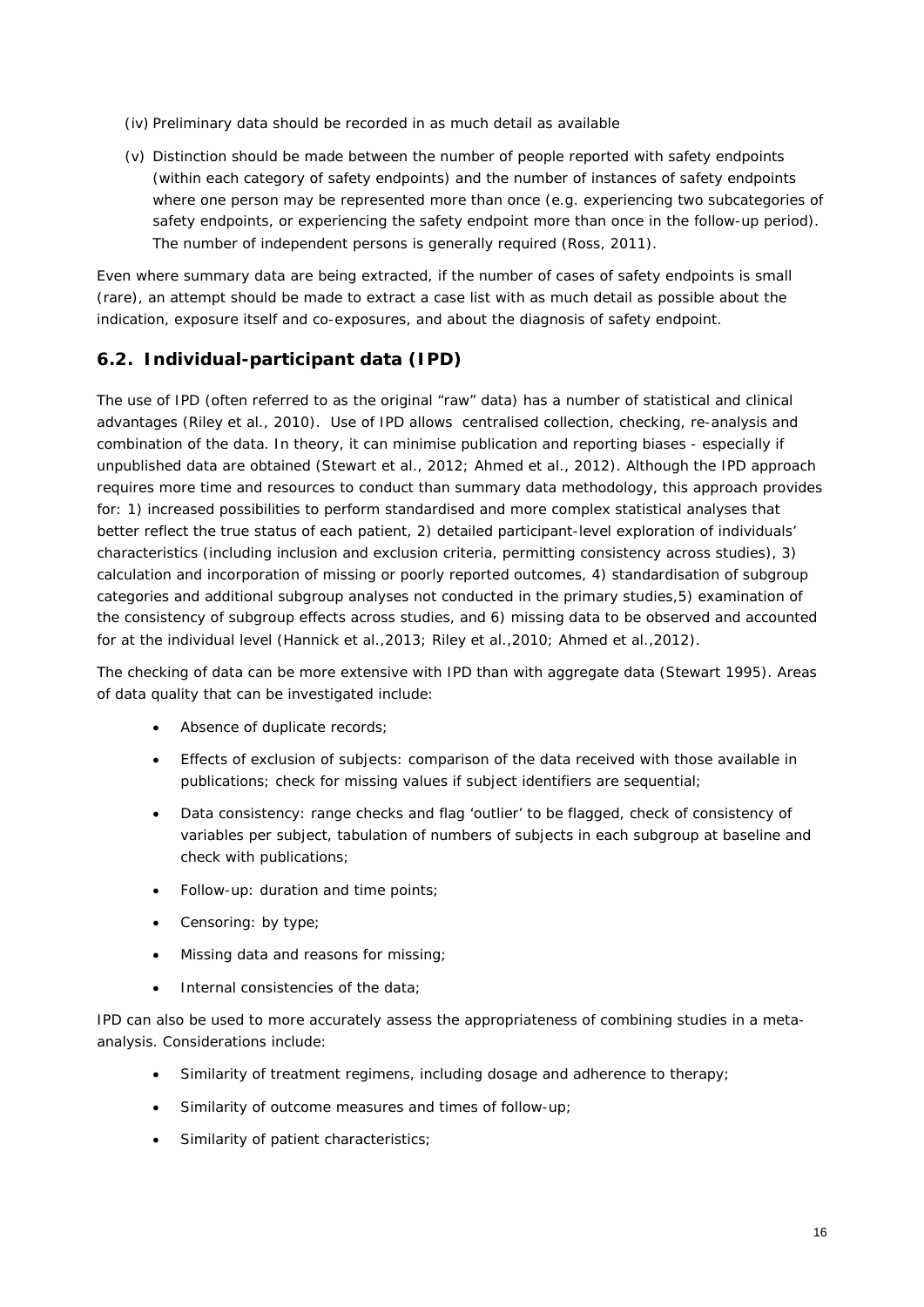- (iv) Preliminary data should be recorded in as much detail as available
- (v) Distinction should be made between the number of people reported with safety endpoints (within each category of safety endpoints) and the number of instances of safety endpoints where one person may be represented more than once (e.g. experiencing two subcategories of safety endpoints, or experiencing the safety endpoint more than once in the follow-up period). The number of independent persons is generally required (Ross, 2011).

Even where summary data are being extracted, if the number of cases of safety endpoints is small (rare), an attempt should be made to extract a case list with as much detail as possible about the indication, exposure itself and co-exposures, and about the diagnosis of safety endpoint.

## <span id="page-15-0"></span>*6.2. Individual-participant data (IPD)*

The use of IPD (often referred to as the original "raw" data) has a number of statistical and clinical advantages (Riley et al., 2010). Use of IPD allows centralised collection, checking, re-analysis and combination of the data. In theory, it can minimise publication and reporting biases - especially if unpublished data are obtained (Stewart et al., 2012; Ahmed et al., 2012). Although the IPD approach requires more time and resources to conduct than summary data methodology, this approach provides for: 1) increased possibilities to perform standardised and more complex statistical analyses that better reflect the true status of each patient, 2) detailed participant-level exploration of individuals' characteristics (including inclusion and exclusion criteria, permitting consistency across studies), 3) calculation and incorporation of missing or poorly reported outcomes, 4) standardisation of subgroup categories and additional subgroup analyses not conducted in the primary studies,5) examination of the consistency of subgroup effects across studies, and 6) missing data to be observed and accounted for at the individual level (Hannick et al.,2013; Riley et al.,2010; Ahmed et al.,2012).

The checking of data can be more extensive with IPD than with aggregate data (Stewart 1995). Areas of data quality that can be investigated include:

- Absence of duplicate records;
- Effects of exclusion of subjects: comparison of the data received with those available in publications; check for missing values if subject identifiers are sequential;
- Data consistency: range checks and flag 'outlier' to be flagged, check of consistency of variables per subject, tabulation of numbers of subjects in each subgroup at baseline and check with publications;
- Follow-up: duration and time points;
- Censoring: by type;
- Missing data and reasons for missing;
- Internal consistencies of the data;

IPD can also be used to more accurately assess the appropriateness of combining studies in a metaanalysis. Considerations include:

- Similarity of treatment regimens, including dosage and adherence to therapy;
- Similarity of outcome measures and times of follow-up;
- Similarity of patient characteristics;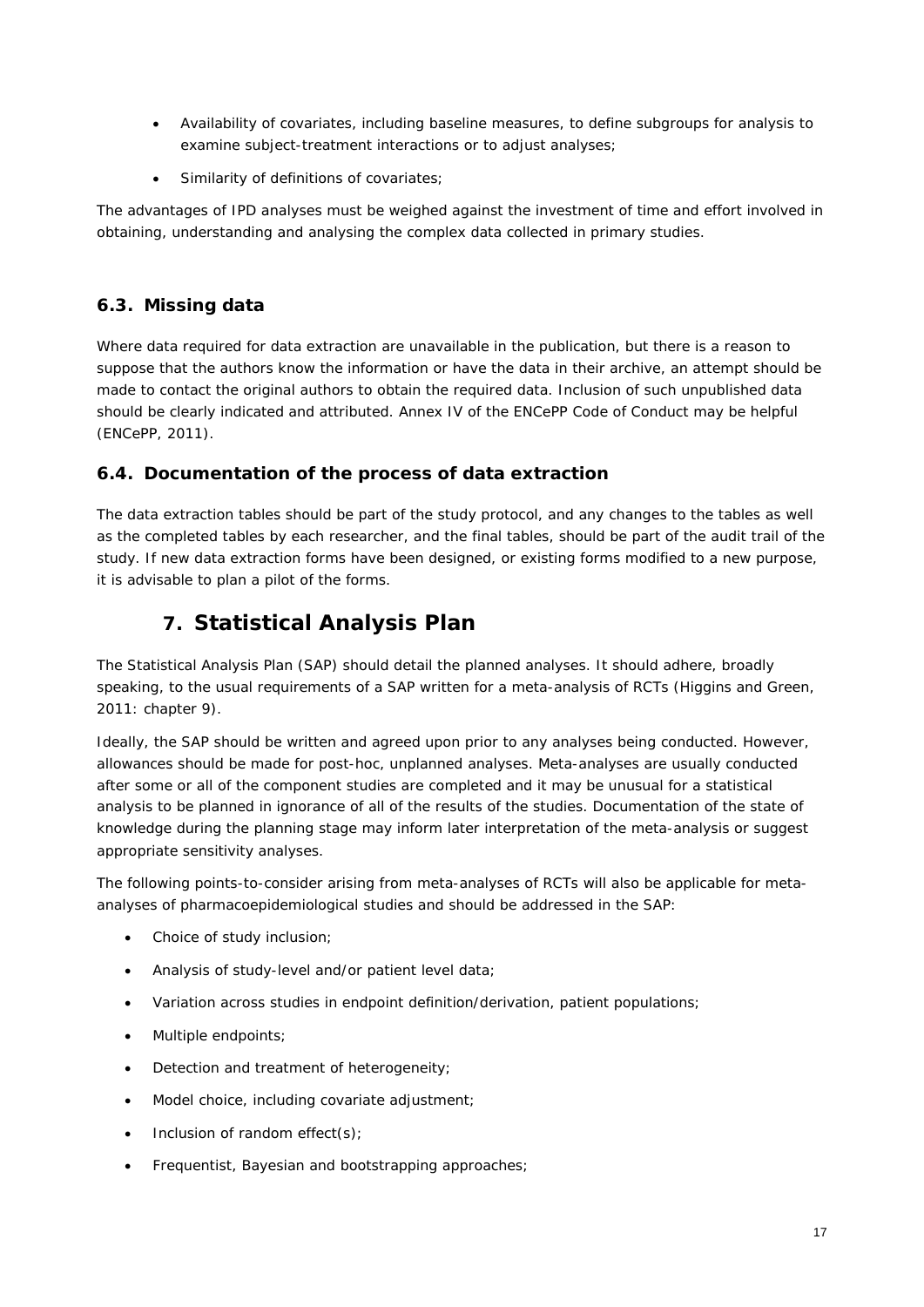- Availability of covariates, including baseline measures, to define subgroups for analysis to examine subject-treatment interactions or to adjust analyses;
- Similarity of definitions of covariates;

The advantages of IPD analyses must be weighed against the investment of time and effort involved in obtaining, understanding and analysing the complex data collected in primary studies.

#### <span id="page-16-0"></span>*6.3. Missing data*

Where data required for data extraction are unavailable in the publication, but there is a reason to suppose that the authors know the information or have the data in their archive, an attempt should be made to contact the original authors to obtain the required data. Inclusion of such unpublished data should be clearly indicated and attributed. Annex IV of the ENCePP Code of Conduct may be helpful (ENCePP, 2011).

#### <span id="page-16-1"></span>*6.4. Documentation of the process of data extraction*

The data extraction tables should be part of the study protocol, and any changes to the tables as well as the completed tables by each researcher, and the final tables, should be part of the audit trail of the study. If new data extraction forms have been designed, or existing forms modified to a new purpose, it is advisable to plan a pilot of the forms.

# **7. Statistical Analysis Plan**

<span id="page-16-2"></span>The Statistical Analysis Plan (SAP) should detail the planned analyses. It should adhere, broadly speaking, to the usual requirements of a SAP written for a meta-analysis of RCTs (Higgins and Green, 2011: chapter 9).

Ideally, the SAP should be written and agreed upon prior to any analyses being conducted. However, allowances should be made for post-hoc, unplanned analyses. Meta-analyses are usually conducted after some or all of the component studies are completed and it may be unusual for a statistical analysis to be planned in ignorance of all of the results of the studies. Documentation of the state of knowledge during the planning stage may inform later interpretation of the meta-analysis or suggest appropriate sensitivity analyses.

The following points-to-consider arising from meta-analyses of RCTs will also be applicable for metaanalyses of pharmacoepidemiological studies and should be addressed in the SAP:

- Choice of study inclusion;
- Analysis of study-level and/or patient level data;
- Variation across studies in endpoint definition/derivation, patient populations;
- Multiple endpoints;
- Detection and treatment of heterogeneity;
- Model choice, including covariate adjustment;
- Inclusion of random effect(s);
- Frequentist, Bayesian and bootstrapping approaches;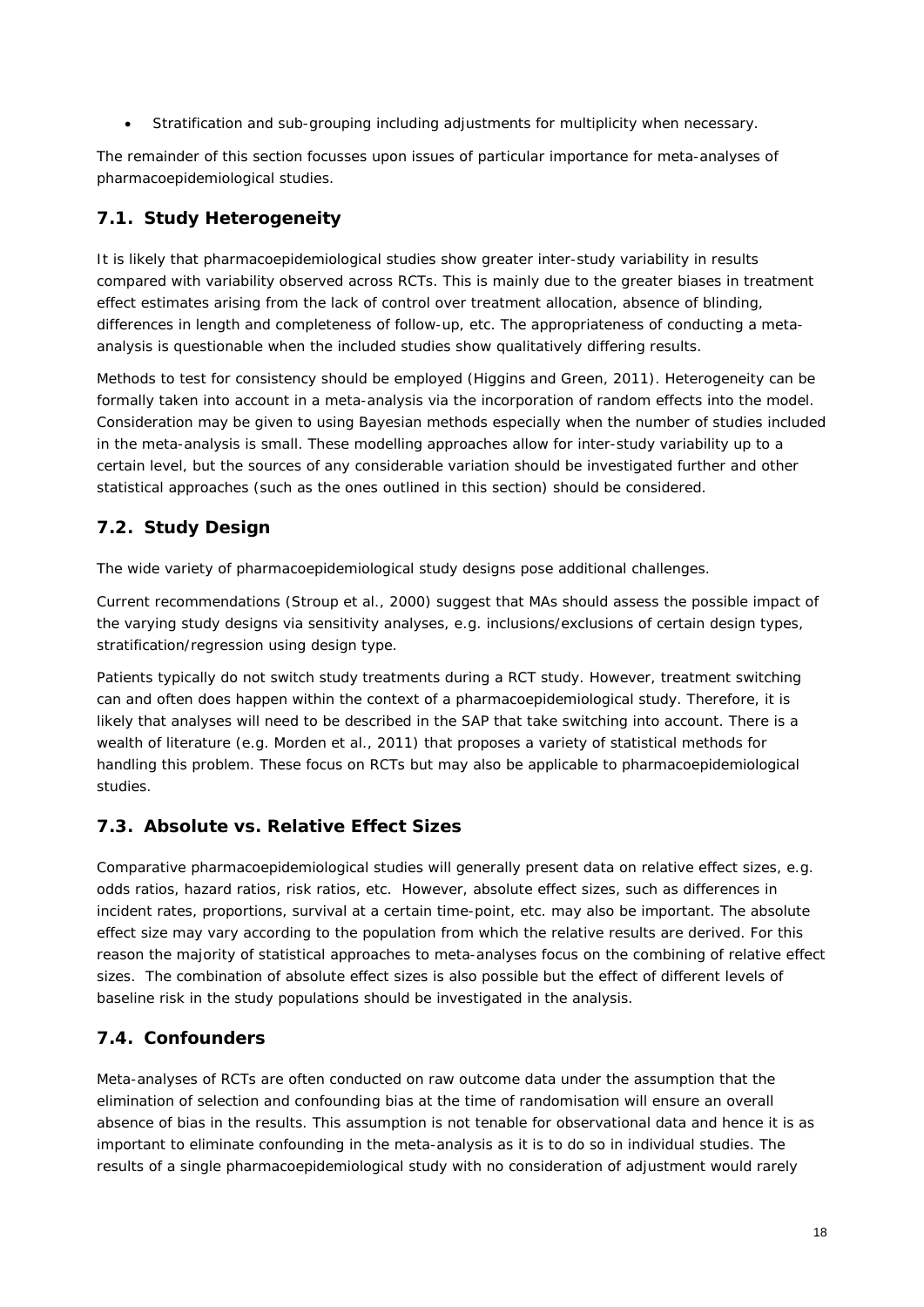• Stratification and sub-grouping including adjustments for multiplicity when necessary.

The remainder of this section focusses upon issues of particular importance for meta-analyses of pharmacoepidemiological studies.

# <span id="page-17-0"></span>*7.1. Study Heterogeneity*

It is likely that pharmacoepidemiological studies show greater inter-study variability in results compared with variability observed across RCTs. This is mainly due to the greater biases in treatment effect estimates arising from the lack of control over treatment allocation, absence of blinding, differences in length and completeness of follow-up, etc. The appropriateness of conducting a metaanalysis is questionable when the included studies show qualitatively differing results.

Methods to test for consistency should be employed (Higgins and Green, 2011). Heterogeneity can be formally taken into account in a meta-analysis via the incorporation of random effects into the model. Consideration may be given to using Bayesian methods especially when the number of studies included in the meta-analysis is small. These modelling approaches allow for inter-study variability up to a certain level, but the sources of any considerable variation should be investigated further and other statistical approaches (such as the ones outlined in this section) should be considered.

# <span id="page-17-1"></span>*7.2. Study Design*

The wide variety of pharmacoepidemiological study designs pose additional challenges.

Current recommendations (Stroup et al., 2000) suggest that MAs should assess the possible impact of the varying study designs via sensitivity analyses, e.g. inclusions/exclusions of certain design types, stratification/regression using design type.

Patients typically do not switch study treatments during a RCT study. However, treatment switching can and often does happen within the context of a pharmacoepidemiological study. Therefore, it is likely that analyses will need to be described in the SAP that take switching into account. There is a wealth of literature (e.g. Morden et al., 2011) that proposes a variety of statistical methods for handling this problem. These focus on RCTs but may also be applicable to pharmacoepidemiological studies.

# <span id="page-17-2"></span>*7.3. Absolute vs. Relative Effect Sizes*

Comparative pharmacoepidemiological studies will generally present data on relative effect sizes, e.g. odds ratios, hazard ratios, risk ratios, etc. However, absolute effect sizes, such as differences in incident rates, proportions, survival at a certain time-point, etc. may also be important. The absolute effect size may vary according to the population from which the relative results are derived. For this reason the majority of statistical approaches to meta-analyses focus on the combining of relative effect sizes. The combination of absolute effect sizes is also possible but the effect of different levels of baseline risk in the study populations should be investigated in the analysis.

# <span id="page-17-3"></span>*7.4. Confounders*

Meta-analyses of RCTs are often conducted on raw outcome data under the assumption that the elimination of selection and confounding bias at the time of randomisation will ensure an overall absence of bias in the results. This assumption is not tenable for observational data and hence it is as important to eliminate confounding in the meta-analysis as it is to do so in individual studies. The results of a single pharmacoepidemiological study with no consideration of adjustment would rarely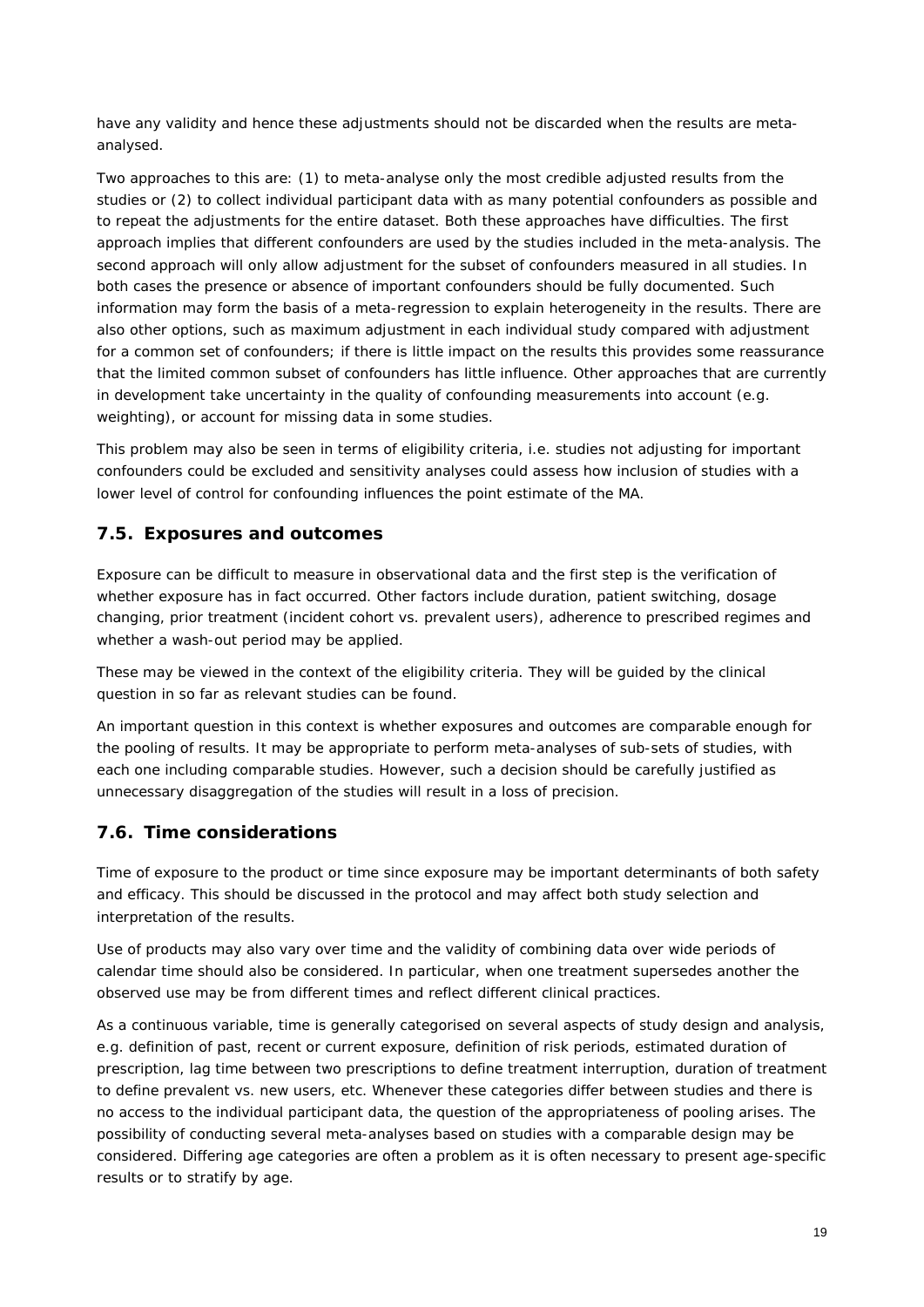have any validity and hence these adjustments should not be discarded when the results are metaanalysed.

Two approaches to this are: (1) to meta-analyse only the most credible adjusted results from the studies or (2) to collect individual participant data with as many potential confounders as possible and to repeat the adjustments for the entire dataset. Both these approaches have difficulties. The first approach implies that different confounders are used by the studies included in the meta-analysis. The second approach will only allow adjustment for the subset of confounders measured in all studies. In both cases the presence or absence of important confounders should be fully documented. Such information may form the basis of a meta-regression to explain heterogeneity in the results. There are also other options, such as maximum adjustment in each individual study compared with adjustment for a common set of confounders; if there is little impact on the results this provides some reassurance that the limited common subset of confounders has little influence. Other approaches that are currently in development take uncertainty in the quality of confounding measurements into account (e.g. weighting), or account for missing data in some studies.

This problem may also be seen in terms of eligibility criteria, i.e. studies not adjusting for important confounders could be excluded and sensitivity analyses could assess how inclusion of studies with a lower level of control for confounding influences the point estimate of the MA.

### <span id="page-18-0"></span>*7.5. Exposures and outcomes*

Exposure can be difficult to measure in observational data and the first step is the verification of whether exposure has in fact occurred. Other factors include duration, patient switching, dosage changing, prior treatment (incident cohort vs. prevalent users), adherence to prescribed regimes and whether a wash-out period may be applied.

These may be viewed in the context of the eligibility criteria. They will be guided by the clinical question in so far as relevant studies can be found.

An important question in this context is whether exposures and outcomes are comparable enough for the pooling of results. It may be appropriate to perform meta-analyses of sub-sets of studies, with each one including comparable studies. However, such a decision should be carefully justified as unnecessary disaggregation of the studies will result in a loss of precision.

### <span id="page-18-1"></span>*7.6. Time considerations*

Time of exposure to the product or time since exposure may be important determinants of both safety and efficacy. This should be discussed in the protocol and may affect both study selection and interpretation of the results.

Use of products may also vary over time and the validity of combining data over wide periods of calendar time should also be considered. In particular, when one treatment supersedes another the observed use may be from different times and reflect different clinical practices.

As a continuous variable, time is generally categorised on several aspects of study design and analysis, e.g. definition of past, recent or current exposure, definition of risk periods, estimated duration of prescription, lag time between two prescriptions to define treatment interruption, duration of treatment to define prevalent vs. new users, etc. Whenever these categories differ between studies and there is no access to the individual participant data, the question of the appropriateness of pooling arises. The possibility of conducting several meta-analyses based on studies with a comparable design may be considered. Differing age categories are often a problem as it is often necessary to present age-specific results or to stratify by age.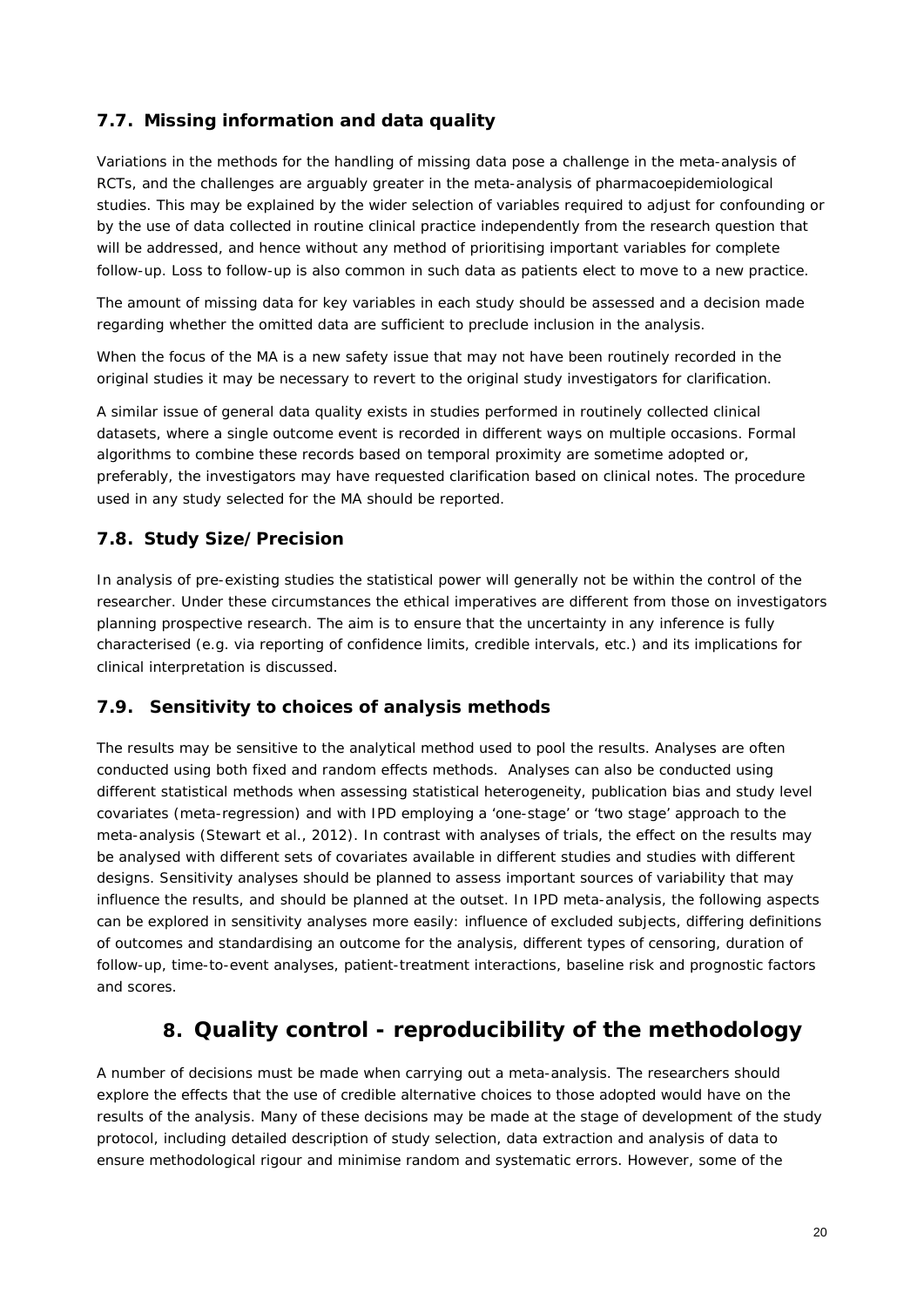# <span id="page-19-0"></span>*7.7. Missing information and data quality*

Variations in the methods for the handling of missing data pose a challenge in the meta-analysis of RCTs, and the challenges are arguably greater in the meta-analysis of pharmacoepidemiological studies. This may be explained by the wider selection of variables required to adjust for confounding or by the use of data collected in routine clinical practice independently from the research question that will be addressed, and hence without any method of prioritising important variables for complete follow-up. Loss to follow-up is also common in such data as patients elect to move to a new practice.

The amount of missing data for key variables in each study should be assessed and a decision made regarding whether the omitted data are sufficient to preclude inclusion in the analysis.

When the focus of the MA is a new safety issue that may not have been routinely recorded in the original studies it may be necessary to revert to the original study investigators for clarification.

A similar issue of general data quality exists in studies performed in routinely collected clinical datasets, where a single outcome event is recorded in different ways on multiple occasions. Formal algorithms to combine these records based on temporal proximity are sometime adopted or, preferably, the investigators may have requested clarification based on clinical notes. The procedure used in any study selected for the MA should be reported.

### <span id="page-19-1"></span>*7.8. Study Size/Precision*

In analysis of pre-existing studies the statistical power will generally not be within the control of the researcher. Under these circumstances the ethical imperatives are different from those on investigators planning prospective research. The aim is to ensure that the uncertainty in any inference is fully characterised (e.g. via reporting of confidence limits, credible intervals, etc.) and its implications for clinical interpretation is discussed.

### <span id="page-19-2"></span>*7.9. Sensitivity to choices of analysis methods*

The results may be sensitive to the analytical method used to pool the results. Analyses are often conducted using both fixed and random effects methods. Analyses can also be conducted using different statistical methods when assessing statistical heterogeneity, publication bias and study level covariates (meta-regression) and with IPD employing a 'one-stage' or 'two stage' approach to the meta-analysis (Stewart et al., 2012). In contrast with analyses of trials, the effect on the results may be analysed with different sets of covariates available in different studies and studies with different designs. Sensitivity analyses should be planned to assess important sources of variability that may influence the results, and should be planned at the outset. In IPD meta-analysis, the following aspects can be explored in sensitivity analyses more easily: influence of excluded subjects, differing definitions of outcomes and standardising an outcome for the analysis, different types of censoring, duration of follow-up, time-to-event analyses, patient-treatment interactions, baseline risk and prognostic factors and scores.

# **8. Quality control - reproducibility of the methodology**

<span id="page-19-3"></span>A number of decisions must be made when carrying out a meta-analysis. The researchers should explore the effects that the use of credible alternative choices to those adopted would have on the results of the analysis. Many of these decisions may be made at the stage of development of the study protocol, including detailed description of study selection, data extraction and analysis of data to ensure methodological rigour and minimise random and systematic errors. However, some of the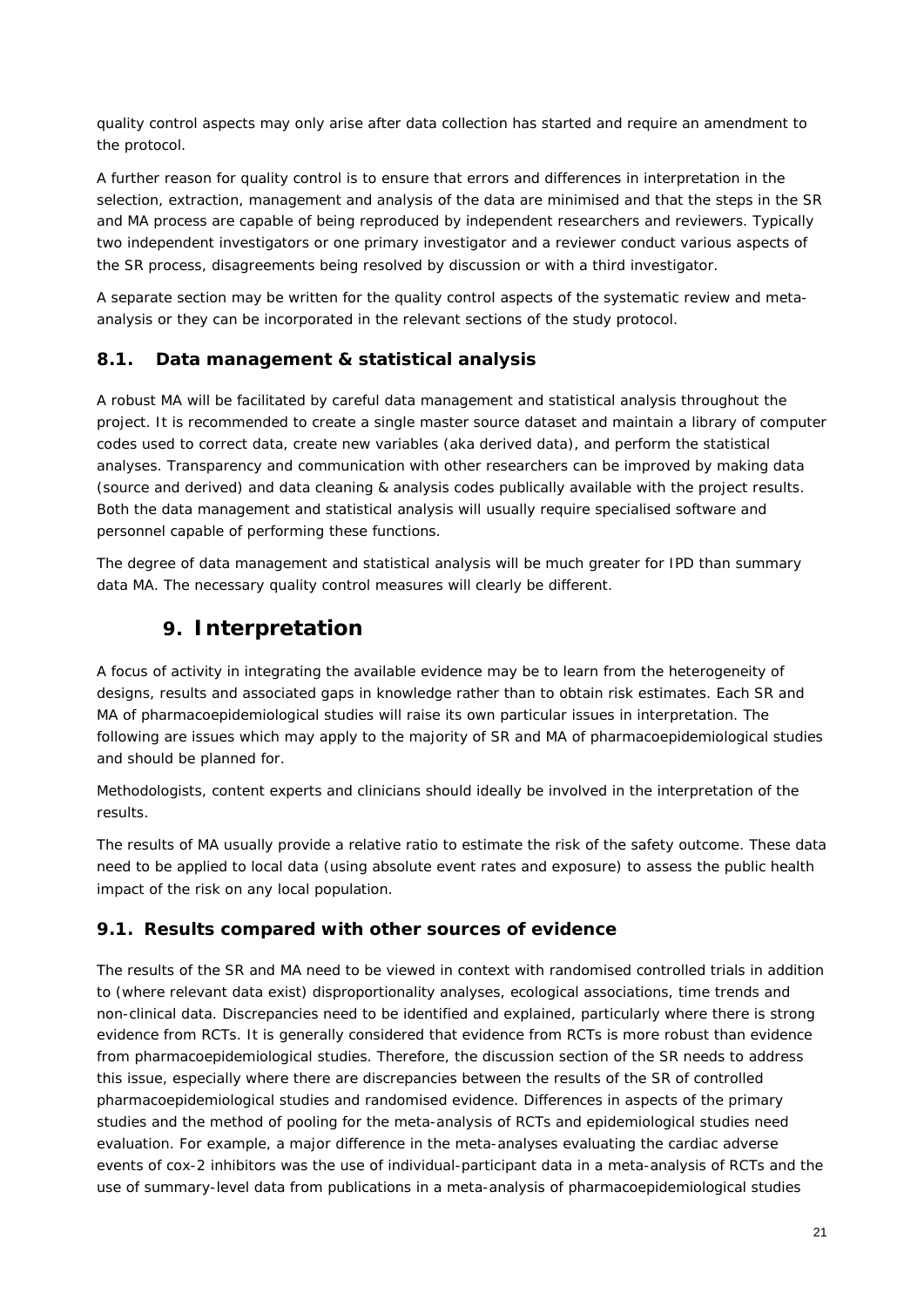quality control aspects may only arise after data collection has started and require an amendment to the protocol.

A further reason for quality control is to ensure that errors and differences in interpretation in the selection, extraction, management and analysis of the data are minimised and that the steps in the SR and MA process are capable of being reproduced by independent researchers and reviewers. Typically two independent investigators or one primary investigator and a reviewer conduct various aspects of the SR process, disagreements being resolved by discussion or with a third investigator.

A separate section may be written for the quality control aspects of the systematic review and metaanalysis or they can be incorporated in the relevant sections of the study protocol.

### <span id="page-20-0"></span>*8.1. Data management & statistical analysis*

A robust MA will be facilitated by careful data management and statistical analysis throughout the project. It is recommended to create a single master source dataset and maintain a library of computer codes used to correct data, create new variables (aka derived data), and perform the statistical analyses. Transparency and communication with other researchers can be improved by making data (source and derived) and data cleaning & analysis codes publically available with the project results. Both the data management and statistical analysis will usually require specialised software and personnel capable of performing these functions.

<span id="page-20-1"></span>The degree of data management and statistical analysis will be much greater for IPD than summary data MA. The necessary quality control measures will clearly be different.

# **9. Interpretation**

A focus of activity in integrating the available evidence may be to learn from the heterogeneity of designs, results and associated gaps in knowledge rather than to obtain risk estimates. Each SR and MA of pharmacoepidemiological studies will raise its own particular issues in interpretation. The following are issues which may apply to the majority of SR and MA of pharmacoepidemiological studies and should be planned for.

Methodologists, content experts and clinicians should ideally be involved in the interpretation of the results.

The results of MA usually provide a relative ratio to estimate the risk of the safety outcome. These data need to be applied to local data (using absolute event rates and exposure) to assess the public health impact of the risk on any local population.

### <span id="page-20-2"></span>*9.1. Results compared with other sources of evidence*

The results of the SR and MA need to be viewed in context with randomised controlled trials in addition to (where relevant data exist) disproportionality analyses, ecological associations, time trends and non-clinical data. Discrepancies need to be identified and explained, particularly where there is strong evidence from RCTs. It is generally considered that evidence from RCTs is more robust than evidence from pharmacoepidemiological studies. Therefore, the discussion section of the SR needs to address this issue, especially where there are discrepancies between the results of the SR of controlled pharmacoepidemiological studies and randomised evidence. Differences in aspects of the primary studies and the method of pooling for the meta-analysis of RCTs and epidemiological studies need evaluation. For example, a major difference in the meta-analyses evaluating the cardiac adverse events of cox-2 inhibitors was the use of individual-participant data in a meta-analysis of RCTs and the use of summary-level data from publications in a meta-analysis of pharmacoepidemiological studies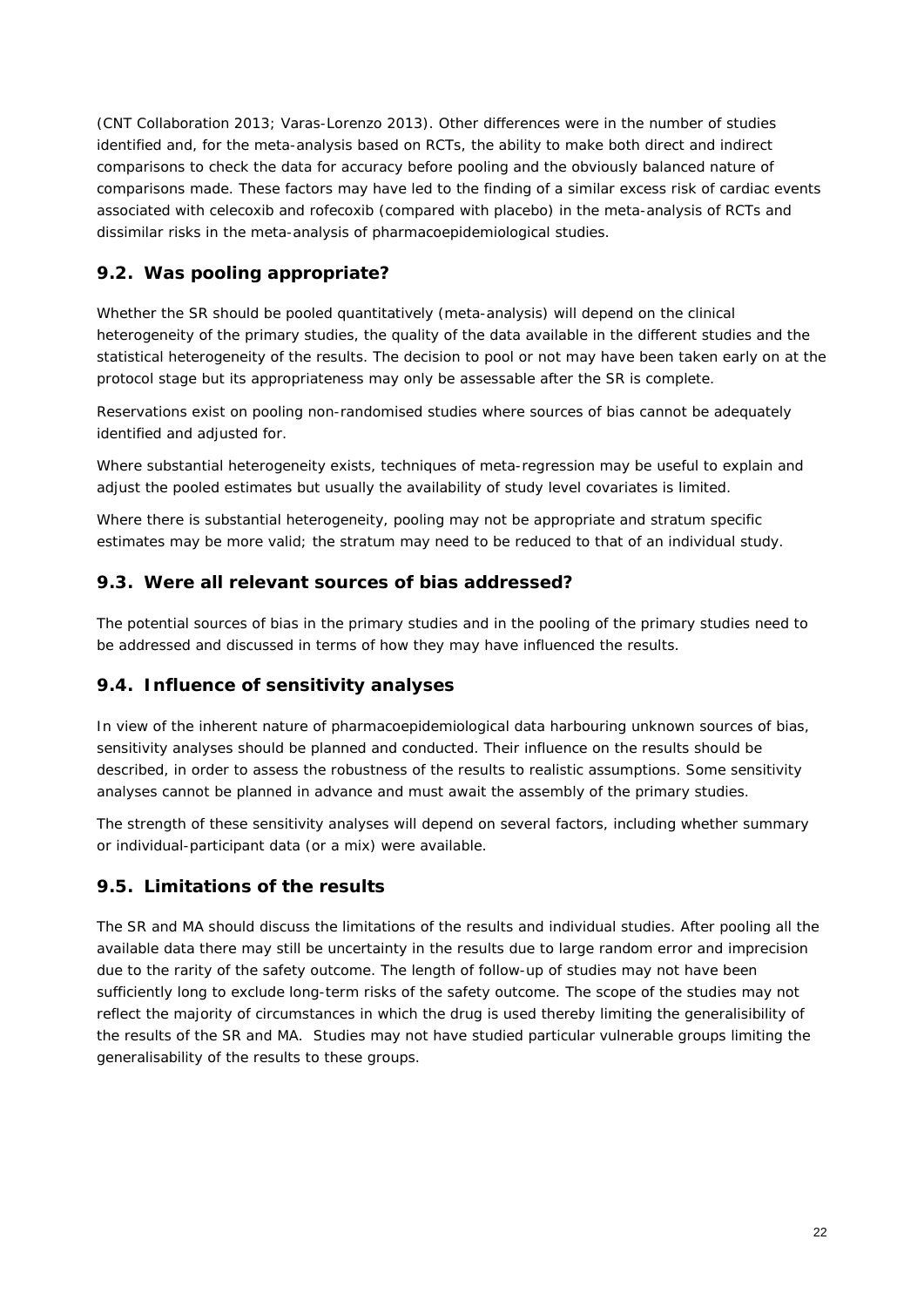[\(CNT Collaboration](http://www.ncbi.nlm.nih.gov/pubmed?term=%22Coxib%20and%20traditional%20NSAID%20Trialists%27%20(CNT)%20Collaboration%22%5BCorporate%20Author%5D) 2013; Varas-Lorenzo 2013). Other differences were in the number of studies identified and, for the meta-analysis based on RCTs, the ability to make both direct and indirect comparisons to check the data for accuracy before pooling and the obviously balanced nature of comparisons made. These factors may have led to the finding of a similar excess risk of cardiac events associated with celecoxib and rofecoxib (compared with placebo) in the meta-analysis of RCTs and dissimilar risks in the meta-analysis of pharmacoepidemiological studies.

# <span id="page-21-0"></span>*9.2. Was pooling appropriate?*

Whether the SR should be pooled quantitatively (meta-analysis) will depend on the clinical heterogeneity of the primary studies, the quality of the data available in the different studies and the statistical heterogeneity of the results. The decision to pool or not may have been taken early on at the protocol stage but its appropriateness may only be assessable after the SR is complete.

Reservations exist on pooling non-randomised studies where sources of bias cannot be adequately identified and adjusted for.

Where substantial heterogeneity exists, techniques of meta-regression may be useful to explain and adjust the pooled estimates but usually the availability of study level covariates is limited.

Where there is substantial heterogeneity, pooling may not be appropriate and stratum specific estimates may be more valid; the stratum may need to be reduced to that of an individual study.

## <span id="page-21-1"></span>*9.3. Were all relevant sources of bias addressed?*

The potential sources of bias in the primary studies and in the pooling of the primary studies need to be addressed and discussed in terms of how they may have influenced the results.

### <span id="page-21-2"></span>*9.4. Influence of sensitivity analyses*

In view of the inherent nature of pharmacoepidemiological data harbouring unknown sources of bias, sensitivity analyses should be planned and conducted. Their influence on the results should be described, in order to assess the robustness of the results to realistic assumptions. Some sensitivity analyses cannot be planned in advance and must await the assembly of the primary studies.

The strength of these sensitivity analyses will depend on several factors, including whether summary or individual-participant data (or a mix) were available.

# <span id="page-21-3"></span>*9.5. Limitations of the results*

The SR and MA should discuss the limitations of the results and individual studies. After pooling all the available data there may still be uncertainty in the results due to large random error and imprecision due to the rarity of the safety outcome. The length of follow-up of studies may not have been sufficiently long to exclude long-term risks of the safety outcome. The scope of the studies may not reflect the majority of circumstances in which the drug is used thereby limiting the generalisibility of the results of the SR and MA. Studies may not have studied particular vulnerable groups limiting the generalisability of the results to these groups.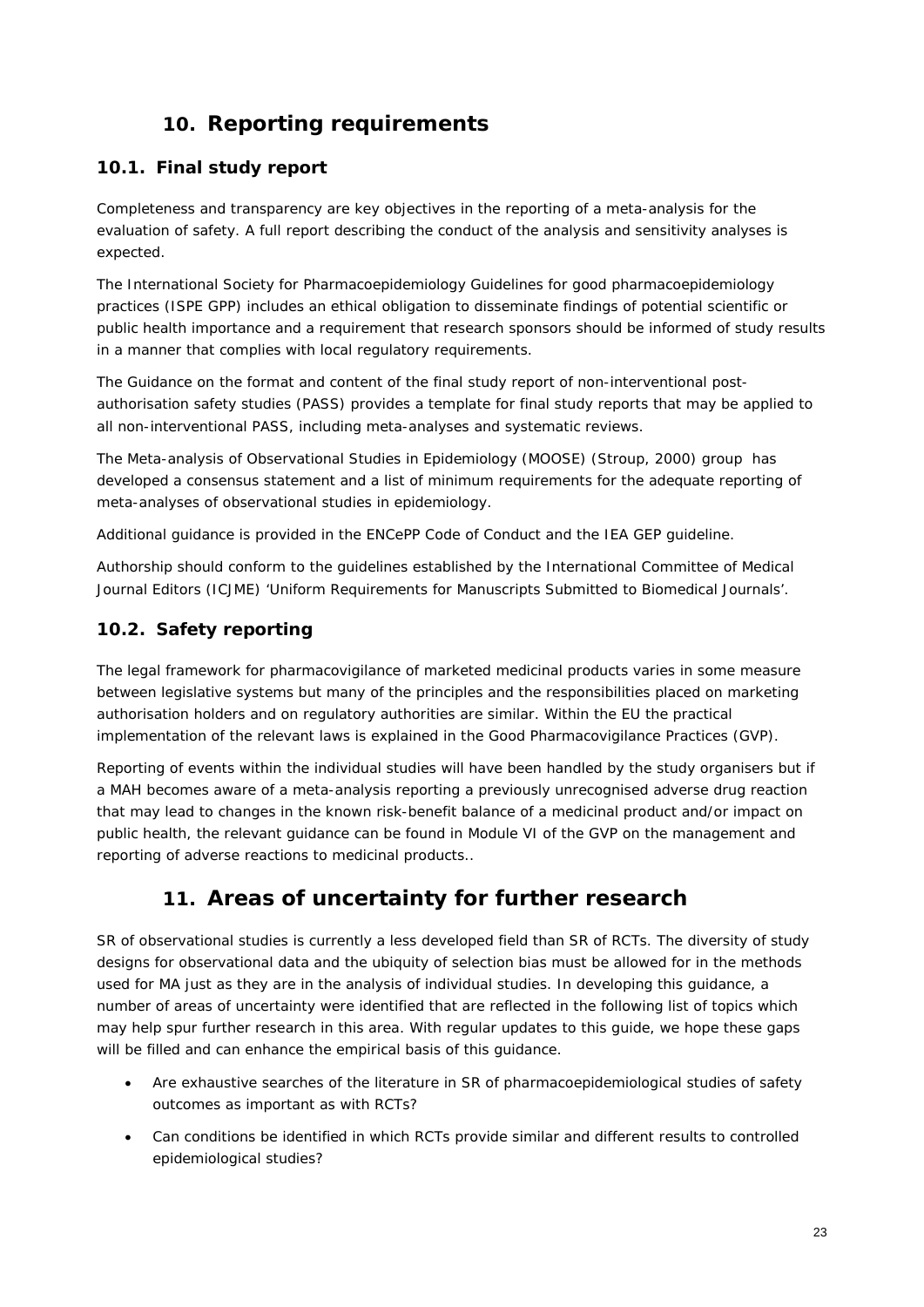# **10. Reporting requirements**

# <span id="page-22-1"></span><span id="page-22-0"></span>*10.1. Final study report*

Completeness and transparency are key objectives in the reporting of a meta-analysis for the evaluation of safety. A full report describing the conduct of the analysis and sensitivity analyses is expected.

The International Society for Pharmacoepidemiology Guidelines for good pharmacoepidemiology practices [\(ISPE GPP\)](http://www.pharmacoepi.org/resources/guidelines_08027.cfm) includes an ethical obligation to disseminate findings of potential scientific or public health importance and a requirement that research sponsors should be informed of study results in a manner that complies with local regulatory requirements.

The [Guidance on the format and content of the final study report of non-interventional post](http://www.ema.europa.eu/docs/en_GB/document_library/Regulatory_and_procedural_guideline/2013/01/WC500137939.pdf)[authorisation safety studies](http://www.ema.europa.eu/docs/en_GB/document_library/Regulatory_and_procedural_guideline/2013/01/WC500137939.pdf) (PASS) provides a template for final study reports that may be applied to all non-interventional PASS, including meta-analyses and systematic reviews.

The [Meta-analysis of Observational Studies in Epidemiology \(MOOSE\)](http://jama.ama-assn.org/cgi/content/full/283/15/2008) (Stroup, 2000) group has developed [a consensus statement](http://jama.ama-assn.org/content/283/15/2008.full) and a list of minimum requirements for the adequate reporting of meta-analyses of observational studies in epidemiology.

Additional guidance is provided in the ENCePP [Code of Conduct](http://www.encepp.eu/code_of_conduct/index.shtml) and the [IEA GEP](http://www.ieaweb.org/index.php?view=article&catid=20:good-epidemiological-practice-gep&id=15:good-epidemiological-practice-gep&format=pdf&option=com_content&Itemid=43) guideline.

Authorship should conform to the guidelines established by the [International Committee of Medical](http://www.icmje.org/)  [Journal Editors \(ICJME\)](http://www.icmje.org/) ['Uniform Requirements for Manuscripts Submitted to Biomedical Journals'.](http://www.icmje.org/ethical_1author.html)

# <span id="page-22-2"></span>*10.2. Safety reporting*

The legal framework for pharmacovigilance of marketed medicinal products varies in some measure between legislative systems but many of the principles and the responsibilities placed on marketing authorisation holders and on regulatory authorities are similar. Within the EU the practical implementation of the relevant laws is explained in the Good Pharmacovigilance Practices (GVP).

Reporting of events within the individual studies will have been handled by the study organisers but if a MAH becomes aware of a meta-analysis reporting a previously unrecognised adverse drug reaction that may lead to changes in the known risk-benefit balance of a medicinal product and/or impact on public health, the relevant guidance can be found in Module VI of the GVP on the management and reporting of adverse reactions to medicinal products..

# **11. Areas of uncertainty for further research**

<span id="page-22-3"></span>SR of observational studies is currently a less developed field than SR of RCTs. The diversity of study designs for observational data and the ubiquity of selection bias must be allowed for in the methods used for MA just as they are in the analysis of individual studies. In developing this guidance, a number of areas of uncertainty were identified that are reflected in the following list of topics which may help spur further research in this area. With regular updates to this guide, we hope these gaps will be filled and can enhance the empirical basis of this guidance.

- Are exhaustive searches of the literature in SR of pharmacoepidemiological studies of safety outcomes as important as with RCTs?
- Can conditions be identified in which RCTs provide similar and different results to controlled epidemiological studies?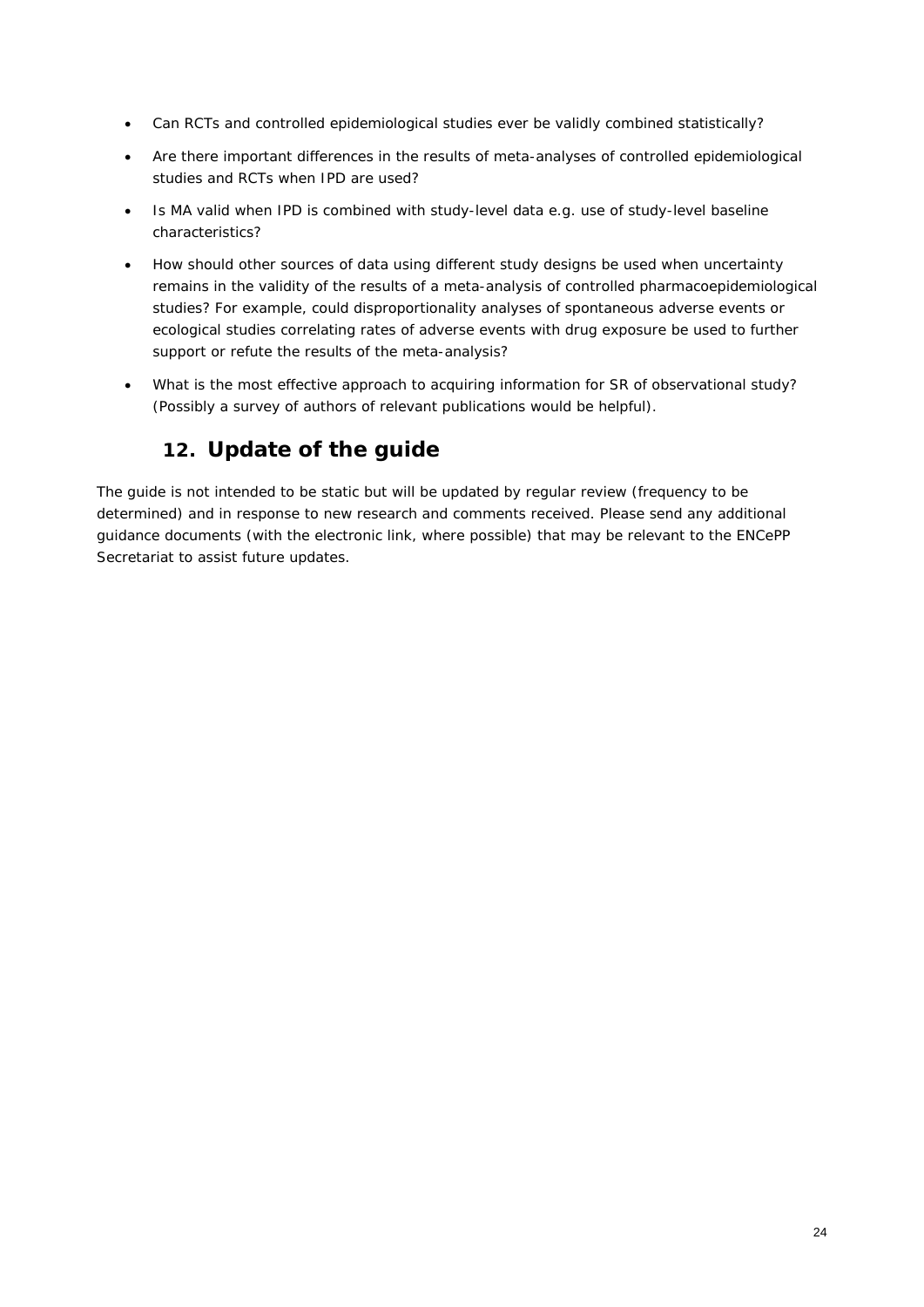- Can RCTs and controlled epidemiological studies ever be validly combined statistically?
- Are there important differences in the results of meta-analyses of controlled epidemiological studies and RCTs when IPD are used?
- Is MA valid when IPD is combined with study-level data e.g. use of study-level baseline characteristics?
- How should other sources of data using different study designs be used when uncertainty remains in the validity of the results of a meta-analysis of controlled pharmacoepidemiological studies? For example, could disproportionality analyses of spontaneous adverse events or ecological studies correlating rates of adverse events with drug exposure be used to further support or refute the results of the meta-analysis?
- <span id="page-23-0"></span>• What is the most effective approach to acquiring information for SR of observational study? (Possibly a survey of authors of relevant publications would be helpful).

# **12. Update of the guide**

The guide is not intended to be static but will be updated by regular review (frequency to be determined) and in response to new research and comments received. Please send any additional guidance documents (with the electronic link, where possible) that may be relevant to the ENCePP Secretariat to assist future updates.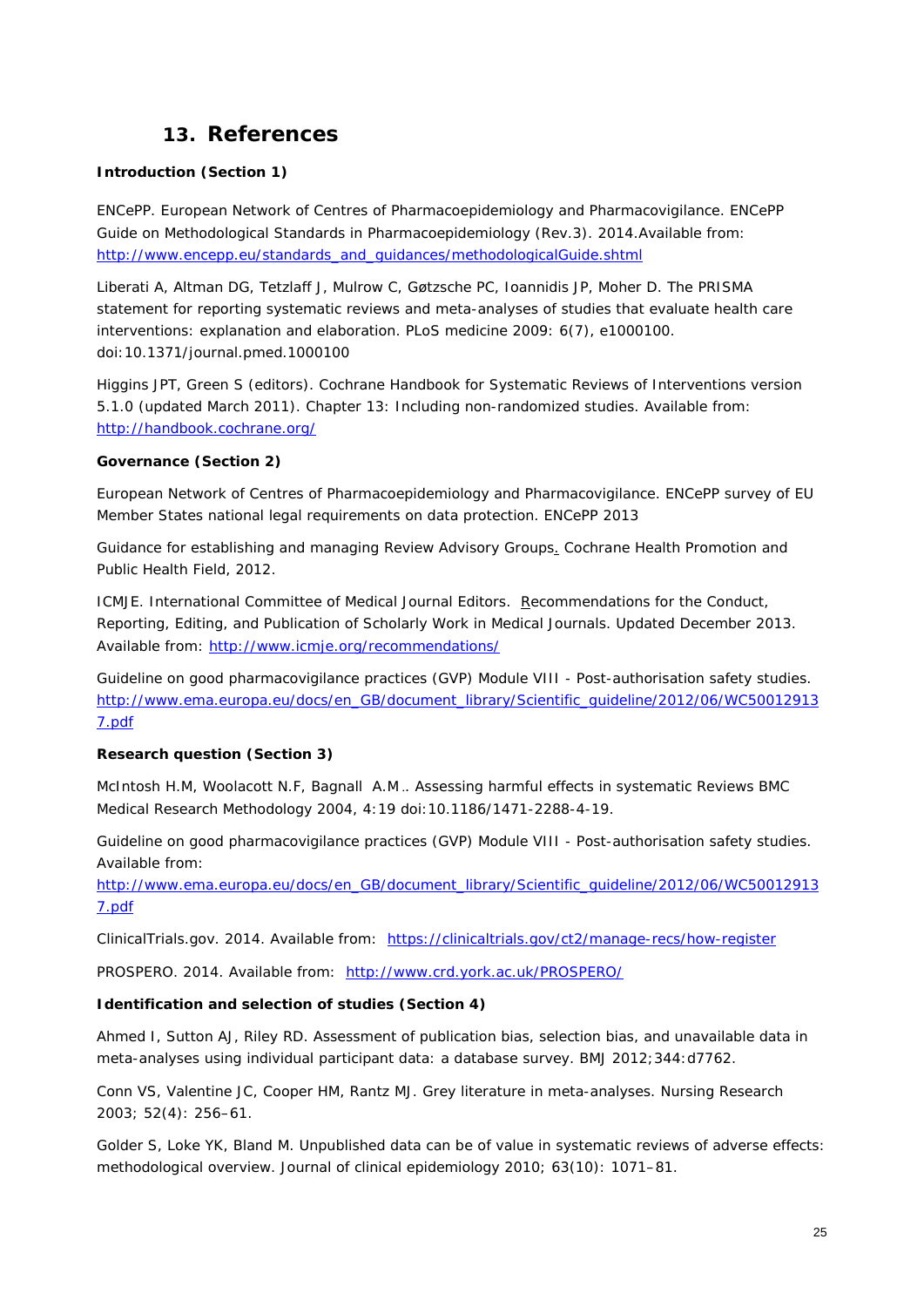# **13. References**

#### <span id="page-24-0"></span>*Introduction (Section 1)*

ENCePP. European Network of Centres of Pharmacoepidemiology and Pharmacovigilance. *[ENCePP](http://www.encepp.eu/standards_and_guidances/methodologicalGuide.shtml)  [Guide on Methodological Standards in Pharmacoepidemiology](http://www.encepp.eu/standards_and_guidances/methodologicalGuide.shtml)* (Rev.3). 2014.Available from: [http://www.encepp.eu/standards\\_and\\_guidances/methodologicalGuide.shtml](http://www.encepp.eu/standards_and_guidances/methodologicalGuide.shtml)

Liberati A, Altman DG, Tetzlaff J, Mulrow C, Gøtzsche PC, Ioannidis JP, Moher D. *The PRISMA statement for reporting systematic reviews and meta-analyses of studies that evaluate health care interventions: explanation and elaboration.* PLoS medicine 2009: 6(7), e1000100. doi:10.1371/journal.pmed.1000100

Higgins JPT, Green S (editors). *[Cochrane Handbook for Systematic Reviews of Interventions](http://www.cochrane.org/handbook)* version [5.1.0 \(updated March 2011\).](http://www.cochrane.org/handbook) *Chapter 13: Including non-randomized studies*. Available from: <http://handbook.cochrane.org/>

#### *Governance (Section 2)*

European Network of Centres of Pharmacoepidemiology and Pharmacovigilance. *[ENCePP survey of EU](http://www.encepp.eu/structure/documents/PhVWP_WG3_survey_responses.pdf)  [Member States national legal requirements on data protection.](http://www.encepp.eu/structure/documents/PhVWP_WG3_survey_responses.pdf)* ENCePP 2013

*[Guidance for establishing and managing Review Advisory Groups.](http://ph.cochrane.org/Files/advisory%20group%20guidance_final.doc)* Cochrane Health Promotion and Public Health Field, 2012.

ICMJE. International Committee of Medical Journal Editors. Recommendations for the Conduct, *[Reporting, Editing, and Publication of Scholarly Work in Medical Journals](http://www.icmje.org/icmje-recommendations.pdf)*. Updated December 2013. Available from: <http://www.icmje.org/recommendations/>

Guideline on good pharmacovigilance practices (GVP) *Module VIII - Post-authorisation safety studies.* [http://www.ema.europa.eu/docs/en\\_GB/document\\_library/Scientific\\_guideline/2012/06/WC50012913](http://www.ema.europa.eu/docs/en_GB/document_library/Scientific_guideline/2012/06/WC500129137.pdf) [7.pdf](http://www.ema.europa.eu/docs/en_GB/document_library/Scientific_guideline/2012/06/WC500129137.pdf)

#### *Research question (Section 3)*

McIntosh H.M, Woolacott N.F, Bagnall A.M .*. Assessing harmful effects in systematic Reviews* BMC Medical Research Methodology 2004, 4:19 doi:10.1186/1471-2288-4-19.

Guideline on good pharmacovigilance practices (GVP) *Module VIII - Post-authorisation safety studies*. Available from:

[http://www.ema.europa.eu/docs/en\\_GB/document\\_library/Scientific\\_guideline/2012/06/WC50012913](http://www.ema.europa.eu/docs/en_GB/document_library/Scientific_guideline/2012/06/WC500129137.pdf) [7.pdf](http://www.ema.europa.eu/docs/en_GB/document_library/Scientific_guideline/2012/06/WC500129137.pdf)

ClinicalTrials.gov. 2014. Available from: <https://clinicaltrials.gov/ct2/manage-recs/how-register>

PROSPERO. 2014. Available from: <http://www.crd.york.ac.uk/PROSPERO/>

#### *Identification and selection of studies (Section 4)*

Ahmed I, Sutton AJ, Riley RD. *[Assessment of publication bias, selection bias, and unavailable data in](http://www.bmj.com/content/344/bmj.d7762)  [meta-analyses using individual participant data: a database survey](http://www.bmj.com/content/344/bmj.d7762)*. BMJ 2012;344:d7762.

Conn VS, Valentine JC, Cooper HM, Rantz MJ*. [Grey literature in meta-analyses](http://www.ncbi.nlm.nih.gov/pubmed/12867783)*. Nursing Research 2003; 52(4): 256–61.

Golder S, Loke YK, Bland M. *[Unpublished data can be of value in systematic reviews of adverse effects:](http://www.ncbi.nlm.nih.gov/pubmed/20457510)  [methodological overview.](http://www.ncbi.nlm.nih.gov/pubmed/20457510)* Journal of clinical epidemiology 2010; 63(10): 1071–81.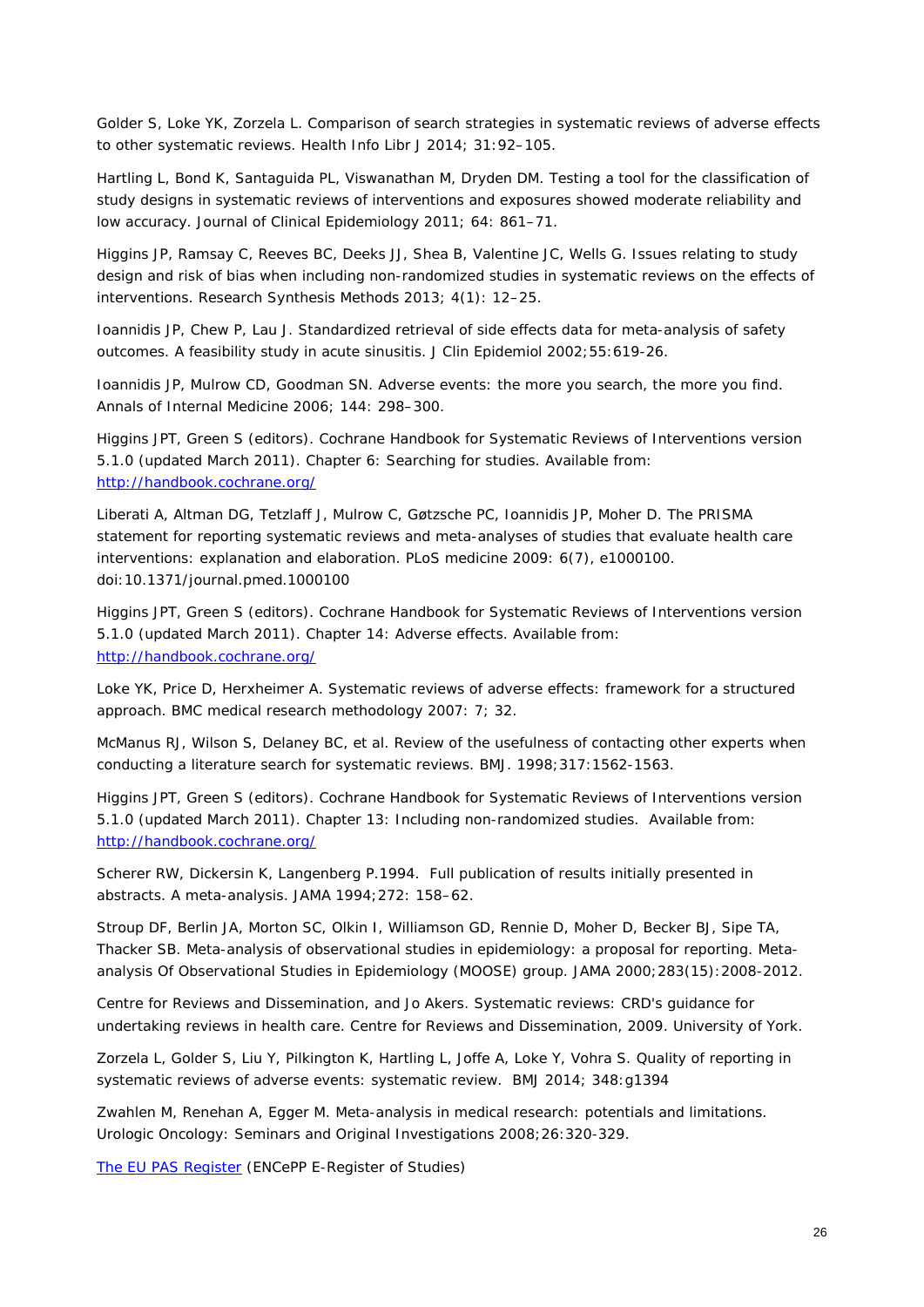Golder S, Loke YK, Zorzela L. *[Comparison of search strategies in systematic reviews of adverse effects](http://onlinelibrary.wiley.com/doi/10.1111/hir.12041/abstract)  to other [systematic reviews.](http://onlinelibrary.wiley.com/doi/10.1111/hir.12041/abstract)* Health Info Libr J 2014; 31:92–105.

Hartling L, Bond K, Santaguida PL, Viswanathan M, Dryden DM. *[Testing a tool for the classification of](http://www.ncbi.nlm.nih.gov/pubmed/21531537)  [study designs in systematic reviews of interventions and exposures showed moderate reliability and](http://www.ncbi.nlm.nih.gov/pubmed/21531537)  [low accuracy.](http://www.ncbi.nlm.nih.gov/pubmed/21531537)* Journal of Clinical Epidemiology 2011; 64: 861–71.

Higgins JP, Ramsay C, Reeves BC, Deeks JJ, Shea B, Valentine JC, Wells G. *[Issues relating to study](http://onlinelibrary.wiley.com/doi/10.1002/jrsm.1056/abstract)  [design and risk of bias when including non-randomized studies in systematic reviews on the effects of](http://onlinelibrary.wiley.com/doi/10.1002/jrsm.1056/abstract)  [interventions.](http://onlinelibrary.wiley.com/doi/10.1002/jrsm.1056/abstract)* Research Synthesis Methods 2013; 4(1): 12–25.

Ioannidis JP, Chew P, Lau J. *[Standardized retrieval of side effects data for meta-analysis of safety](http://www.ncbi.nlm.nih.gov/pubmed/12063104)  [outcomes. A feasibility study in acute sinusitis.](http://www.ncbi.nlm.nih.gov/pubmed/12063104)* J Clin Epidemiol 2002;55:619-26.

Ioannidis JP, Mulrow CD, Goodman SN*. [Adverse events: the more you search, the more you find.](http://annals.org/article.aspx?articleid=720642)* Annals of Internal Medicine 2006; 144: 298–300.

Higgins JPT, Green S (editors). *[Cochrane Handbook for Systematic Reviews of Interventions](http://www.cochrane.org/handbook)* version [5.1.0 \(updated March 2011\).](http://www.cochrane.org/handbook) *Chapter 6: Searching for studies*. Available from: <http://handbook.cochrane.org/>

Liberati A, Altman DG, Tetzlaff J, Mulrow C, Gøtzsche PC, Ioannidis JP, Moher D. *[The PRISMA](http://www.bmj.com/content/339/bmj.b2700)  [statement for reporting systematic reviews and meta-analyses of studies that evaluate health care](http://www.bmj.com/content/339/bmj.b2700)  [interventions: explanation and elaboration](http://www.bmj.com/content/339/bmj.b2700)*. PLoS medicine 2009: 6(7), e1000100. doi:10.1371/journal.pmed.1000100

Higgins JPT, Green S (editors). *[Cochrane Handbook for Systematic Reviews of Interventions](http://www.cochrane.org/handbook)* version [5.1.0 \(updated March 2011\).](http://www.cochrane.org/handbook) *Chapter 14: Adverse effects*. Available from: <http://handbook.cochrane.org/>

Loke YK, Price D, Herxheimer A. *[Systematic reviews of adverse effects: framework for a structured](http://www.ncbi.nlm.nih.gov/pubmed/17615054)  [approach.](http://www.ncbi.nlm.nih.gov/pubmed/17615054)* BMC medical research methodology 2007: 7; 32.

McManus RJ, Wilson S, Delaney BC, et al*. [Review of the usefulness of contacting other experts](http://www.bmj.com/content/317/7172/1562) when [conducting a literature search for systematic reviews](http://www.bmj.com/content/317/7172/1562)*. BMJ. 1998;317:1562-1563.

Higgins JPT, Green S (editors). *[Cochrane Handbook for Systematic Reviews of Interventions](http://www.cochrane.org/handbook)* version [5.1.0 \(updated March 2011\).](http://www.cochrane.org/handbook) Chapter 13: *Including non-randomized studies*. Available from: <http://handbook.cochrane.org/>

Scherer RW, Dickersin K, Langenberg P.1994. *[Full publication of results initially presented in](http://www.ncbi.nlm.nih.gov/pubmed/8015133)  [abstracts. A meta-analysis.](http://www.ncbi.nlm.nih.gov/pubmed/8015133)* JAMA 1994;272: 158–62.

Stroup DF, Berlin JA, Morton SC, Olkin I, Williamson GD, Rennie D, Moher D, Becker BJ, Sipe TA, Thacker SB. *[Meta-analysis of observational studies in epidemiology: a proposal for reporting](http://www.ncbi.nlm.nih.gov/pubmed/10789670)*. *Metaanalysis Of Observational Studies in Epidemiology (MOOSE) group*. JAMA 2000;283(15):2008-2012.

Centre for Reviews and Dissemination, and Jo Akers. *[Systematic reviews: CRD's guidance for](http://www.york.ac.uk/inst/crd/pdf/Systematic_Reviews.pdf)  [undertaking reviews in health care. Centre for Reviews and Dissemination,](http://www.york.ac.uk/inst/crd/pdf/Systematic_Reviews.pdf)* 2009. University of York.

Zorzela L, Golder S, Liu Y, Pilkington K, Hartling L, Joffe A, Loke Y, Vohra S. *Quality of reporting in systematic reviews of adverse events: systematic review.* BMJ 2014; 348:g1394

Zwahlen M, Renehan A, Egger M. *[Meta-analysis in medical research: potentials and limitations.](http://www.ncbi.nlm.nih.gov/pubmed/18452828)*  Urologic Oncology: Seminars and Original Investigations 2008;26:320-329.

[The EU PAS Register](http://www.encepp.eu/encepp_studies/indexRegister.shtml) (ENCePP E-Register of Studies)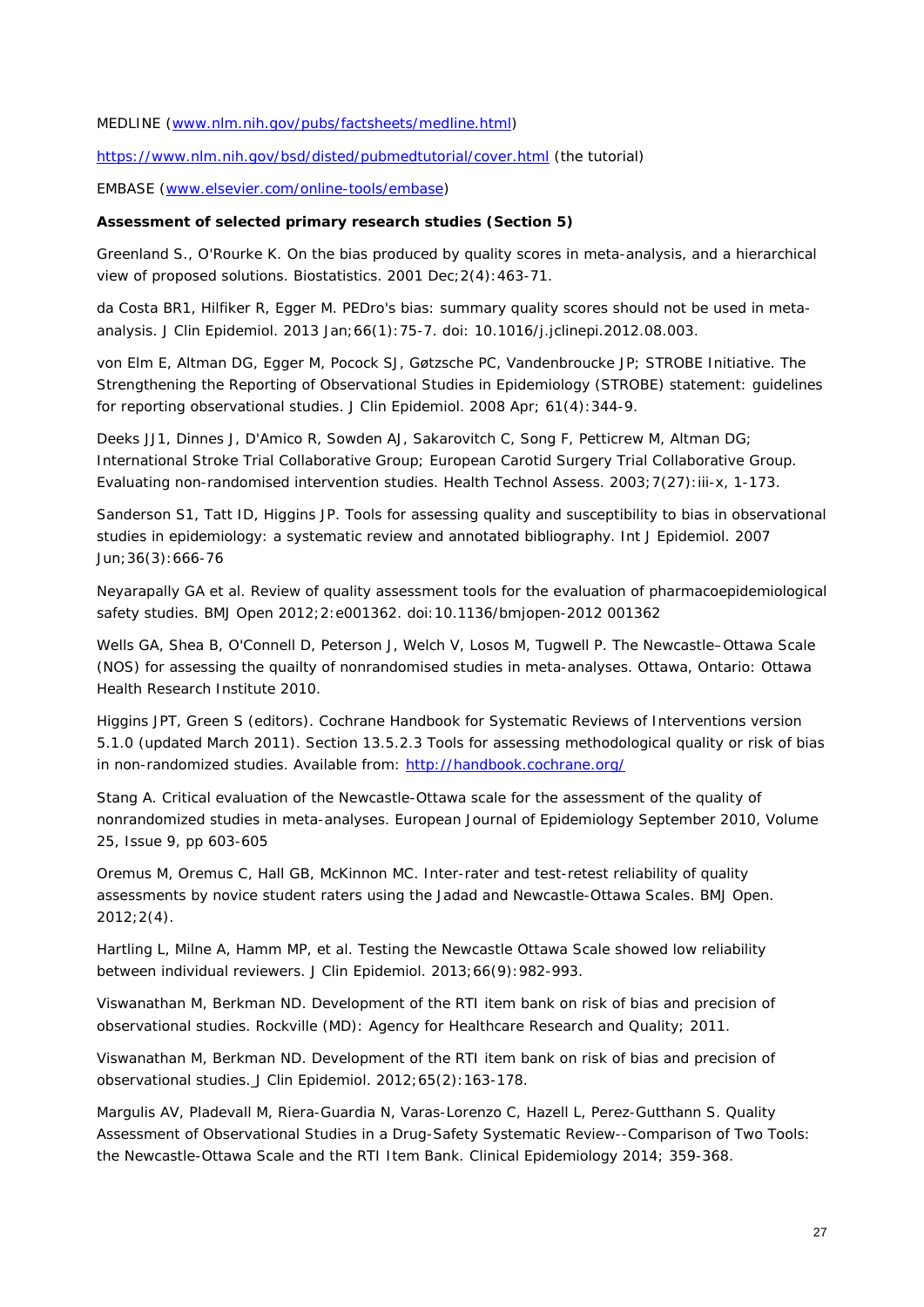MEDLINE [\(www.nlm.nih.gov/pubs/factsheets/medline.html\)](http://www.nlm.nih.gov/pubs/factsheets/medline.html)

<https://www.nlm.nih.gov/bsd/disted/pubmedtutorial/cover.html> (the tutorial)

EMBASE [\(www.elsevier.com/online-tools/embase\)](http://www.elsevier.com/online-tools/embase)

#### *Assessment of selected primary research studies (Section 5)*

Greenland S., O'Rourke K. *[On the bias produced by quality scores in meta-analysis, and a hierarchical](http://biostatistics.oxfordjournals.org/content/2/4/463.abstract)  [view of proposed solutions.](http://biostatistics.oxfordjournals.org/content/2/4/463.abstract)* Biostatistics. 2001 Dec;2(4):463-71.

da Costa BR1, Hilfiker R, Egger M. *[PEDro's bias: summary quality scores should not be used in meta](http://www.jclinepi.com/article/PIIS0895435612002776/fulltext)[analysis.](http://www.jclinepi.com/article/PIIS0895435612002776/fulltext)* J Clin Epidemiol. 2013 Jan;66(1):75-7. doi: 10.1016/j.jclinepi.2012.08.003.

von Elm E, Altman DG, Egger M, Pocock SJ, Gøtzsche PC, Vandenbroucke JP; STROBE Initiative. *[The](http://www.ncbi.nlm.nih.gov/pmc/articles/PMC2034723/)  [Strengthening the Reporting of Observational Studies in Epidemiology \(STROBE\) statement: guidelines](http://www.ncbi.nlm.nih.gov/pmc/articles/PMC2034723/)  [for reporting observational studies.](http://www.ncbi.nlm.nih.gov/pmc/articles/PMC2034723/)* J Clin Epidemiol. 2008 Apr; 61(4):344-9.

Deeks JJ1, Dinnes J, D'Amico R, Sowden AJ, Sakarovitch C, Song F, Petticrew M, Altman DG; International Stroke Trial Collaborative Group; European Carotid Surgery Trial Collaborative Group. *[Evaluating non-randomised intervention studies.](http://www.ncbi.nlm.nih.gov/pubmed/14499048)* Health Technol Assess. 2003;7(27):iii-x, 1-173.

Sanderson S1, Tatt ID, Higgins JP. *[Tools for assessing quality and susceptibility to bias in observational](http://www.ncbi.nlm.nih.gov/pubmed/17470488)  [studies in epidemiology: a systematic review and annotated bibliography](http://www.ncbi.nlm.nih.gov/pubmed/17470488)*. Int J Epidemiol. 2007 Jun;36(3):666-76

Neyarapally GA et al. *[Review of quality assessment tools for the evaluation of pharmacoepidemiological](http://bmjopen.bmj.com/content/2/5/e001362.abstract)  [safety studies.](http://bmjopen.bmj.com/content/2/5/e001362.abstract)* BMJ Open 2012;2:e001362. doi:10.1136/bmjopen-2012 001362

Wells GA, Shea B, O'Connell D, Peterson J, Welch V, Losos M, Tugwell P. *[The Newcastle–Ottawa Scale](http://www.ohri.ca/programs/clinical_epidemiology/oxford.htm)  [\(NOS\) for assessing the quailty of nonrandomised studies in meta-analyses](http://www.ohri.ca/programs/clinical_epidemiology/oxford.htm)*. Ottawa, Ontario: Ottawa Health Research Institute 2010.

Higgins JPT, Green S (editors). *[Cochrane Handbook for Systematic Reviews of Interventions](http://www.cochrane.org/handbook)* version [5.1.0 \(updated March 2011\).](http://www.cochrane.org/handbook) *Section 13.5.2.3 Tools for assessing methodological quality or risk of bias in non-randomized studies*. Available from:<http://handbook.cochrane.org/>

Stang A. *[Critical evaluation of the Newcastle-Ottawa scale for the assessment of the quality of](http://link.springer.com/article/10.1007%2Fs10654-010-9491-z)  [nonrandomized studies in meta-analyses](http://link.springer.com/article/10.1007%2Fs10654-010-9491-z)*. European Journal of Epidemiology September 2010, Volume 25, Issue 9, pp 603-605

Oremus M, Oremus C, Hall GB, McKinnon MC. *[Inter-rater and test-retest reliability of quality](http://www.ncbi.nlm.nih.gov/pubmed/22855629)  [assessments by novice student raters using the Jadad and Newcastle-Ottawa Scales](http://www.ncbi.nlm.nih.gov/pubmed/22855629)*. BMJ Open. 2012;2(4).

Hartling L, Milne A, Hamm MP, et al. *[Testing the Newcastle Ottawa Scale showed low reliability](http://www.ncbi.nlm.nih.gov/pubmed/23683848)  [between individual reviewers.](http://www.ncbi.nlm.nih.gov/pubmed/23683848)* J Clin Epidemiol. 2013;66(9):982-993.

Viswanathan M, Berkman ND. *[Development of the RTI item bank on risk of bias and precision of](http://effectivehealthcare.ahrq.gov/index.cfm/search-for-guides-reviews-and-reports/?pageaction=displayproduct&productid=784)  [observational studies.](http://effectivehealthcare.ahrq.gov/index.cfm/search-for-guides-reviews-and-reports/?pageaction=displayproduct&productid=784)* Rockville (MD): Agency for Healthcare Research and Quality; 2011.

Viswanathan M, Berkman ND. *[Development of the RTI item bank on risk of bias and precision of](http://www.ncbi.nlm.nih.gov/pubmed/21959223)  [observational studies.](http://www.ncbi.nlm.nih.gov/pubmed/21959223)* J Clin Epidemiol. 2012;65(2):163-178.

Margulis AV, Pladevall M, Riera-Guardia N, Varas-Lorenzo C, Hazell L, Perez-Gutthann S. Quality *Assessment of Observational Studies in a Drug-Safety Systematic Review--Comparison of Two Tools: the Newcastle-Ottawa Scale and the RTI Item Bank*. Clinical Epidemiology 2014; 359-368.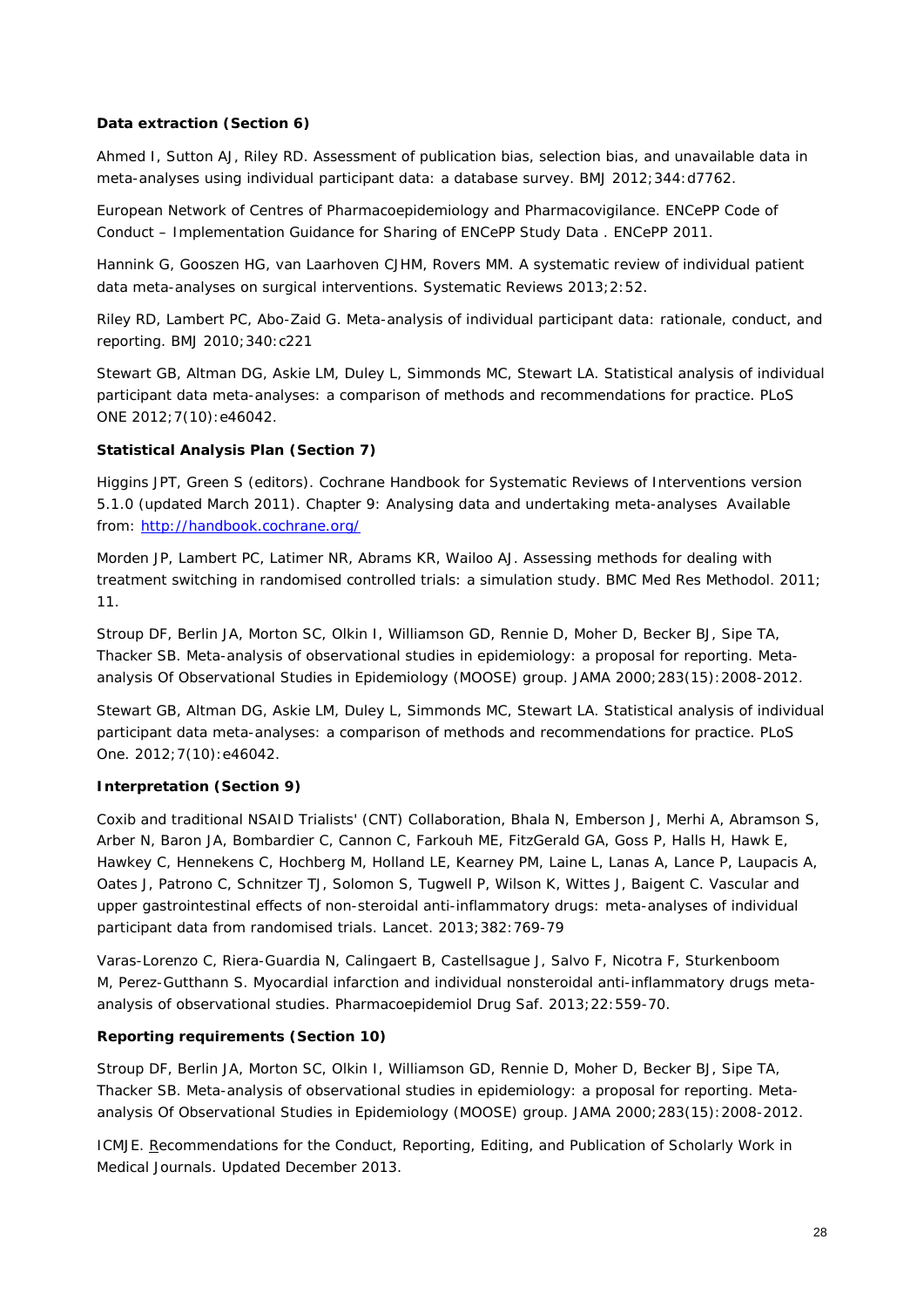#### *Data extraction (Section 6)*

Ahmed I, Sutton AJ, Riley RD. *[Assessment of publication bias, selection bias, and unavailable data in](http://www.bmj.com/content/344/bmj.d7762)  [meta-analyses using individual participant data: a database survey.](http://www.bmj.com/content/344/bmj.d7762)* BMJ 2012;344:d7762.

European Network of Centres of Pharmacoepidemiology and Pharmacovigilance. *[ENCePP Code of](http://www.encepp.eu/code_of_conduct/documents/Annex4_SharingData.pdf)  Conduct – [Implementation Guidance for Sharing of ENCePP Study Data](http://www.encepp.eu/code_of_conduct/documents/Annex4_SharingData.pdf)* . ENCePP 2011.

Hannink G, Gooszen HG, van Laarhoven CJHM, Rovers MM*. [A systematic review of individual patient](http://www.ncbi.nlm.nih.gov/pmc/articles/PMC3704956/)  [data meta-analyses on surgical interventions.](http://www.ncbi.nlm.nih.gov/pmc/articles/PMC3704956/)* Systematic Reviews 2013;2:52.

Riley RD, Lambert PC, Abo-Zaid G. *[Meta-analysis of individual participant data: rationale, conduct, and](http://www.bmj.com/content/340/bmj.c221)  [reporting.](http://www.bmj.com/content/340/bmj.c221)* BMJ 2010;340:c221

Stewart GB, Altman DG, Askie LM, Duley L, Simmonds MC, Stewart LA. *[Statistical analysis of individual](http://www.ncbi.nlm.nih.gov/pubmed/23056232)  [participant data meta-analyses: a comparison of methods and recommendations for practice.](http://www.ncbi.nlm.nih.gov/pubmed/23056232)* PLoS ONE 2012;7(10):e46042.

#### *Statistical Analysis Plan (Section 7)*

Higgins JPT, Green S (editors). *[Cochrane Handbook for Systematic Reviews of Interventions](http://www.cochrane.org/handbook)* version [5.1.0 \(updated March](http://www.cochrane.org/handbook) 2011). *Chapter 9: Analysing data and undertaking meta-analyses* Available from:<http://handbook.cochrane.org/>

Morden JP, Lambert PC, Latimer NR, Abrams KR, Wailoo AJ. *Assessing methods for dealing with treatment switching in randomised controlled trials: a simulation study*. BMC Med Res Methodol. 2011; 11.

Stroup DF, Berlin JA, Morton SC, Olkin I, Williamson GD, Rennie D, Moher D, Becker BJ, Sipe TA, Thacker SB. *[Meta-analysis of observational studies in epidemiology: a proposal for reporting](http://www.ncbi.nlm.nih.gov/pubmed/10789670)*. *Metaanalysis Of Observational Studies in Epidemiology (MOOSE) group*. JAMA 2000;283(15):2008-2012.

Stewart GB, Altman DG, Askie LM, Duley L, Simmonds MC, Stewart LA*. [Statistical analysis of individual](http://www.ncbi.nlm.nih.gov/pubmed/23056232)  [participant data meta-analyses: a comparison of methods and recommendations for practice.](http://www.ncbi.nlm.nih.gov/pubmed/23056232)* PLoS One. 2012;7(10):e46042.

#### *Interpretation (Section 9)*

[Coxib and traditional NSAID Trialists' \(CNT\) Collaboration,](http://www.ncbi.nlm.nih.gov/pubmed?term=%22Coxib%20and%20traditional%20NSAID%20Trialists%27%20(CNT)%20Collaboration%22%5BCorporate%20Author%5D) [Bhala N,](http://www.ncbi.nlm.nih.gov/pubmed?term=Bhala%20N%5BAuthor%5D&cauthor=true&cauthor_uid=23726390) [Emberson J,](http://www.ncbi.nlm.nih.gov/pubmed?term=Emberson%20J%5BAuthor%5D&cauthor=true&cauthor_uid=23726390) [Merhi A,](http://www.ncbi.nlm.nih.gov/pubmed?term=Merhi%20A%5BAuthor%5D&cauthor=true&cauthor_uid=23726390) [Abramson S,](http://www.ncbi.nlm.nih.gov/pubmed?term=Abramson%20S%5BAuthor%5D&cauthor=true&cauthor_uid=23726390) [Arber N,](http://www.ncbi.nlm.nih.gov/pubmed?term=Arber%20N%5BAuthor%5D&cauthor=true&cauthor_uid=23726390) [Baron JA,](http://www.ncbi.nlm.nih.gov/pubmed?term=Baron%20JA%5BAuthor%5D&cauthor=true&cauthor_uid=23726390) [Bombardier C,](http://www.ncbi.nlm.nih.gov/pubmed?term=Bombardier%20C%5BAuthor%5D&cauthor=true&cauthor_uid=23726390) [Cannon C,](http://www.ncbi.nlm.nih.gov/pubmed?term=Cannon%20C%5BAuthor%5D&cauthor=true&cauthor_uid=23726390) [Farkouh ME,](http://www.ncbi.nlm.nih.gov/pubmed?term=Farkouh%20ME%5BAuthor%5D&cauthor=true&cauthor_uid=23726390) [FitzGerald GA,](http://www.ncbi.nlm.nih.gov/pubmed?term=FitzGerald%20GA%5BAuthor%5D&cauthor=true&cauthor_uid=23726390) [Goss P,](http://www.ncbi.nlm.nih.gov/pubmed?term=Goss%20P%5BAuthor%5D&cauthor=true&cauthor_uid=23726390) [Halls H,](http://www.ncbi.nlm.nih.gov/pubmed?term=Halls%20H%5BAuthor%5D&cauthor=true&cauthor_uid=23726390) [Hawk E,](http://www.ncbi.nlm.nih.gov/pubmed?term=Hawk%20E%5BAuthor%5D&cauthor=true&cauthor_uid=23726390) [Hawkey C,](http://www.ncbi.nlm.nih.gov/pubmed?term=Hawkey%20C%5BAuthor%5D&cauthor=true&cauthor_uid=23726390) [Hennekens C,](http://www.ncbi.nlm.nih.gov/pubmed?term=Hennekens%20C%5BAuthor%5D&cauthor=true&cauthor_uid=23726390) [Hochberg M,](http://www.ncbi.nlm.nih.gov/pubmed?term=Hochberg%20M%5BAuthor%5D&cauthor=true&cauthor_uid=23726390) [Holland LE,](http://www.ncbi.nlm.nih.gov/pubmed?term=Holland%20LE%5BAuthor%5D&cauthor=true&cauthor_uid=23726390) [Kearney PM,](http://www.ncbi.nlm.nih.gov/pubmed?term=Kearney%20PM%5BAuthor%5D&cauthor=true&cauthor_uid=23726390) [Laine L,](http://www.ncbi.nlm.nih.gov/pubmed?term=Laine%20L%5BAuthor%5D&cauthor=true&cauthor_uid=23726390) [Lanas A,](http://www.ncbi.nlm.nih.gov/pubmed?term=Lanas%20A%5BAuthor%5D&cauthor=true&cauthor_uid=23726390) [Lance P,](http://www.ncbi.nlm.nih.gov/pubmed?term=Lance%20P%5BAuthor%5D&cauthor=true&cauthor_uid=23726390) [Laupacis A,](http://www.ncbi.nlm.nih.gov/pubmed?term=Laupacis%20A%5BAuthor%5D&cauthor=true&cauthor_uid=23726390) [Oates J,](http://www.ncbi.nlm.nih.gov/pubmed?term=Oates%20J%5BAuthor%5D&cauthor=true&cauthor_uid=23726390) [Patrono C,](http://www.ncbi.nlm.nih.gov/pubmed?term=Patrono%20C%5BAuthor%5D&cauthor=true&cauthor_uid=23726390) [Schnitzer TJ,](http://www.ncbi.nlm.nih.gov/pubmed?term=Schnitzer%20TJ%5BAuthor%5D&cauthor=true&cauthor_uid=23726390) [Solomon S,](http://www.ncbi.nlm.nih.gov/pubmed?term=Solomon%20S%5BAuthor%5D&cauthor=true&cauthor_uid=23726390) [Tugwell P,](http://www.ncbi.nlm.nih.gov/pubmed?term=Tugwell%20P%5BAuthor%5D&cauthor=true&cauthor_uid=23726390) [Wilson K,](http://www.ncbi.nlm.nih.gov/pubmed?term=Wilson%20K%5BAuthor%5D&cauthor=true&cauthor_uid=23726390) [Wittes J,](http://www.ncbi.nlm.nih.gov/pubmed?term=Wittes%20J%5BAuthor%5D&cauthor=true&cauthor_uid=23726390) [Baigent C.](http://www.ncbi.nlm.nih.gov/pubmed?term=Baigent%20C%5BAuthor%5D&cauthor=true&cauthor_uid=23726390) *[Vascular and](http://www.ncbi.nlm.nih.gov/pubmed/23726390)  upper gastrointestinal effects of non-steroidal anti-inflammatory [drugs: meta-analyses of individual](http://www.ncbi.nlm.nih.gov/pubmed/23726390)  [participant data from randomised trials.](http://www.ncbi.nlm.nih.gov/pubmed/23726390)* [Lancet.](http://www.ncbi.nlm.nih.gov/pubmed/?term=Kearney+2013+nsaid) 2013;382:769-79

[Varas-Lorenzo](http://www.ncbi.nlm.nih.gov/pubmed?term=Varas-Lorenzo%20C%5BAuthor%5D&cauthor=true&cauthor_uid=23616423) C, [Riera-Guardia N,](http://www.ncbi.nlm.nih.gov/pubmed?term=Riera-Guardia%20N%5BAuthor%5D&cauthor=true&cauthor_uid=23616423) [Calingaert B,](http://www.ncbi.nlm.nih.gov/pubmed?term=Calingaert%20B%5BAuthor%5D&cauthor=true&cauthor_uid=23616423) [Castellsague J,](http://www.ncbi.nlm.nih.gov/pubmed?term=Castellsague%20J%5BAuthor%5D&cauthor=true&cauthor_uid=23616423) [Salvo F,](http://www.ncbi.nlm.nih.gov/pubmed?term=Salvo%20F%5BAuthor%5D&cauthor=true&cauthor_uid=23616423) [Nicotra F,](http://www.ncbi.nlm.nih.gov/pubmed?term=Nicotra%20F%5BAuthor%5D&cauthor=true&cauthor_uid=23616423) [Sturkenboom](http://www.ncbi.nlm.nih.gov/pubmed?term=Sturkenboom%20M%5BAuthor%5D&cauthor=true&cauthor_uid=23616423)  [M,](http://www.ncbi.nlm.nih.gov/pubmed?term=Sturkenboom%20M%5BAuthor%5D&cauthor=true&cauthor_uid=23616423) [Perez-Gutthann S.](http://www.ncbi.nlm.nih.gov/pubmed?term=Perez-Gutthann%20S%5BAuthor%5D&cauthor=true&cauthor_uid=23616423) *[Myocardial infarction and individual nonsteroidal anti-inflammatory drugs meta](http://www.ncbi.nlm.nih.gov/pubmed/23616423)[analysis of observational studies.](http://www.ncbi.nlm.nih.gov/pubmed/23616423)* [Pharmacoepidemiol Drug Saf.](http://www.ncbi.nlm.nih.gov/pubmed/?term=Varas-Lorenzo+2013) 2013;22:559-70.

#### *Reporting requirements (Section 10)*

Stroup DF, Berlin JA, Morton SC, Olkin I, Williamson GD, Rennie D, Moher D, Becker BJ, Sipe TA, Thacker SB. *[Meta-analysis of observational studies in epidemiology: a proposal for reporting](http://www.ncbi.nlm.nih.gov/pubmed/10789670)*. *Metaanalysis Of Observational Studies in Epidemiology (MOOSE) group*. JAMA 2000;283(15):2008-2012.

ICMJE. R*[ecommendations for the Conduct, Reporting, Editing, and Publication of Scholarly Work in](http://www.icmje.org/icmje-recommendations.pdf)  [Medical Journals](http://www.icmje.org/icmje-recommendations.pdf)*. Updated December 2013.